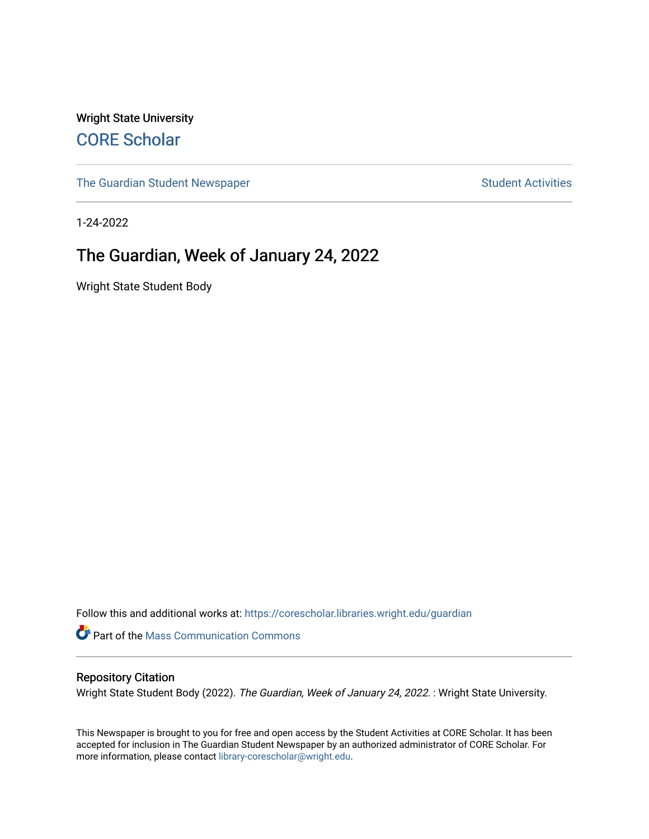Wright State University [CORE Scholar](https://corescholar.libraries.wright.edu/)

[The Guardian Student Newspaper](https://corescholar.libraries.wright.edu/guardian) Student Activities

1-24-2022

#### The Guardian, Week of January 24, 2022

Wright State Student Body

Follow this and additional works at: [https://corescholar.libraries.wright.edu/guardian](https://corescholar.libraries.wright.edu/guardian?utm_source=corescholar.libraries.wright.edu%2Fguardian%2F2517&utm_medium=PDF&utm_campaign=PDFCoverPages)

Part of the [Mass Communication Commons](http://network.bepress.com/hgg/discipline/334?utm_source=corescholar.libraries.wright.edu%2Fguardian%2F2517&utm_medium=PDF&utm_campaign=PDFCoverPages) 

#### Repository Citation

Wright State Student Body (2022). The Guardian, Week of January 24, 2022. : Wright State University.

This Newspaper is brought to you for free and open access by the Student Activities at CORE Scholar. It has been accepted for inclusion in The Guardian Student Newspaper by an authorized administrator of CORE Scholar. For more information, please contact [library-corescholar@wright.edu.](mailto:library-corescholar@wright.edu)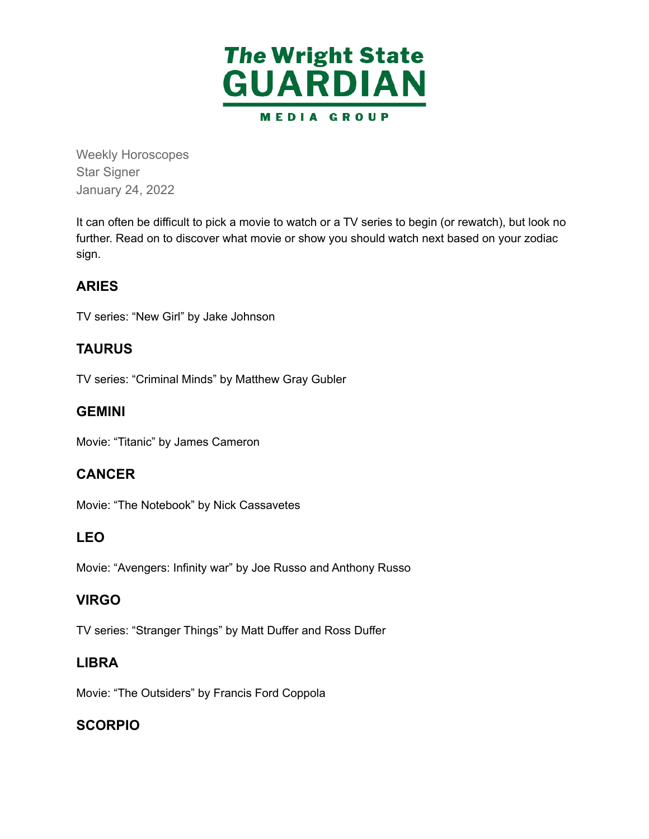

Weekly Horoscopes Star Signer January 24, 2022

 It can often be difficult to pick a movie to watch or a TV series to begin (or rewatch), but look no further. Read on to discover what movie or show you should watch next based on your zodiac sign.

#### **ARIES**

TV series: "New Girl" by Jake Johnson

#### **TAURUS**

TV series: "Criminal Minds" by Matthew Gray Gubler

#### **GEMINI**

Movie: "Titanic" by James Cameron

#### **CANCER**

Movie: "The Notebook" by Nick Cassavetes

#### **LEO**

Movie: "Avengers: Infinity war" by Joe Russo and Anthony Russo

#### **VIRGO**

TV series: "Stranger Things" by Matt Duffer and Ross Duffer

#### **LIBRA**

Movie: "The Outsiders" by Francis Ford Coppola

#### **SCORPIO**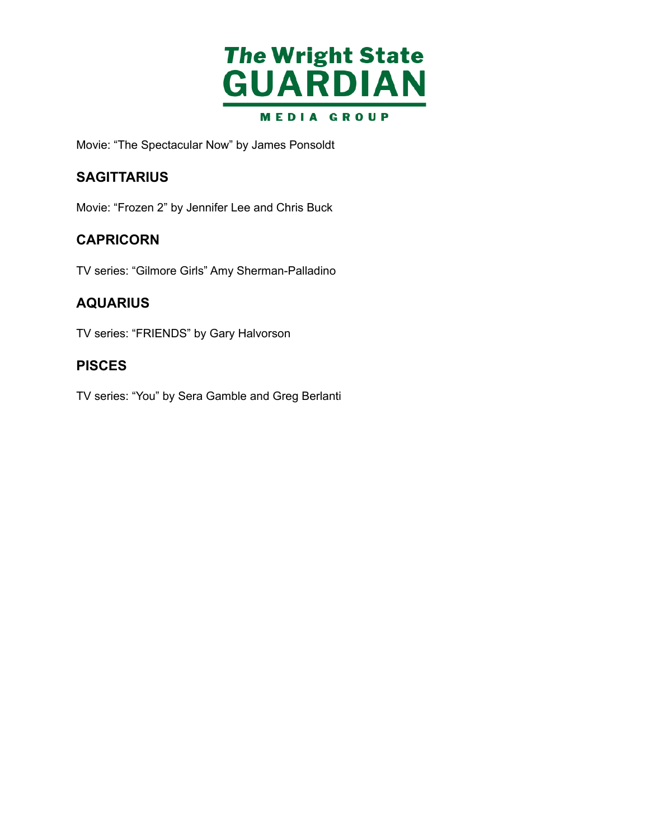

Movie: "The Spectacular Now" by James Ponsoldt

#### **SAGITTARIUS**

Movie: "Frozen 2" by Jennifer Lee and Chris Buck

#### **CAPRICORN**

TV series: "Gilmore Girls" Amy Sherman-Palladino

#### **AQUARIUS**

TV series: "FRIENDS" by Gary Halvorson

#### **PISCES**

TV series: "You" by Sera Gamble and Greg Berlanti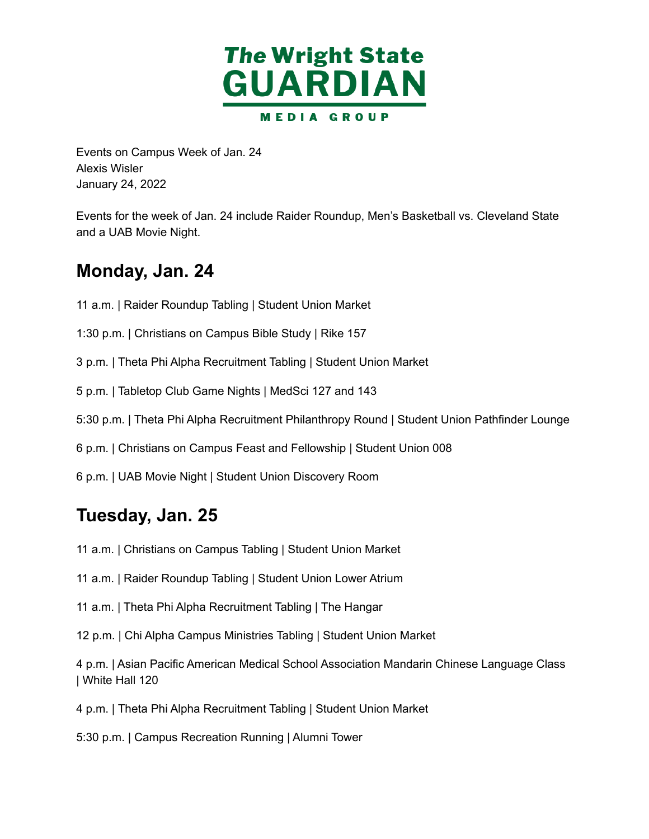

 Events on Campus Week of Jan. 24 January 24, 2022 Alexis Wisler

 Events for the week of Jan. 24 include Raider Roundup, Men's Basketball vs. Cleveland State and a UAB Movie Night.

### **Monday, Jan. 24**

- 11 a.m. | Raider Roundup Tabling | Student Union Market
- 1:30 p.m. | Christians on Campus Bible Study | Rike 157
- 3 p.m. | Theta Phi Alpha Recruitment Tabling | Student Union Market
- 5 p.m. | Tabletop Club Game Nights | MedSci 127 and 143
- 5:30 p.m. | Theta Phi Alpha Recruitment Philanthropy Round | Student Union Pathfinder Lounge
- 6 p.m. | Christians on Campus Feast and Fellowship | Student Union 008
- 6 p.m. | UAB Movie Night | Student Union Discovery Room

#### **Tuesday, Jan. 25**

- 11 a.m. | Christians on Campus Tabling | Student Union Market
- 11 a.m. | Raider Roundup Tabling | Student Union Lower Atrium
- 11 a.m. | Theta Phi Alpha Recruitment Tabling | The Hangar
- 12 p.m. | Chi Alpha Campus Ministries Tabling | Student Union Market
- 4 p.m. | Asian Pacific American Medical School Association Mandarin Chinese Language Class | White Hall 120
- 4 p.m. | Theta Phi Alpha Recruitment Tabling | Student Union Market
- 5:30 p.m. | Campus Recreation Running | Alumni Tower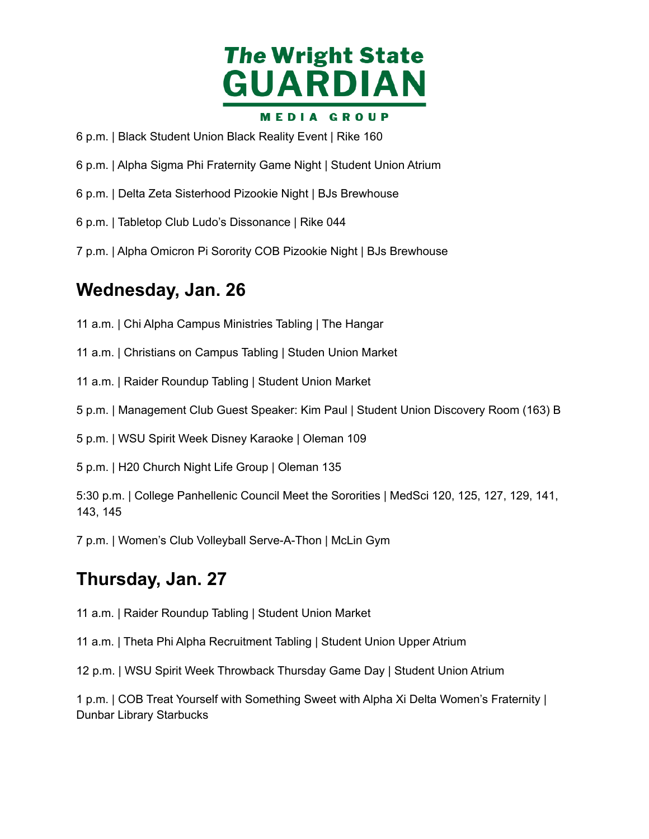

- p.m. | Black Student Union Black Reality Event | Rike 160
- p.m. | Alpha Sigma Phi Fraternity Game Night | Student Union Atrium
- p.m. | Delta Zeta Sisterhood Pizookie Night | BJs Brewhouse
- p.m. | Tabletop Club Ludo's Dissonance | Rike 044
- p.m. | Alpha Omicron Pi Sorority COB Pizookie Night | BJs Brewhouse

#### **Wednesday, Jan. 26**

- a.m. | Chi Alpha Campus Ministries Tabling | The Hangar
- a.m. | Christians on Campus Tabling | Studen Union Market
- a.m. | Raider Roundup Tabling | Student Union Market
- p.m. | Management Club Guest Speaker: Kim Paul | Student Union Discovery Room (163) B
- p.m. | WSU Spirit Week Disney Karaoke | Oleman 109
- p.m. | H20 Church Night Life Group | Oleman 135
- 5:30 p.m. | College Panhellenic Council Meet the Sororities | MedSci 120, 125, 127, 129, 141, 143, 145
- p.m. | Women's Club Volleyball Serve-A-Thon | McLin Gym

### **Thursday, Jan. 27**

- a.m. | Raider Roundup Tabling | Student Union Market
- a.m. | Theta Phi Alpha Recruitment Tabling | Student Union Upper Atrium
- p.m. | WSU Spirit Week Throwback Thursday Game Day | Student Union Atrium

 p.m. | COB Treat Yourself with Something Sweet with Alpha Xi Delta Women's Fraternity | Dunbar Library Starbucks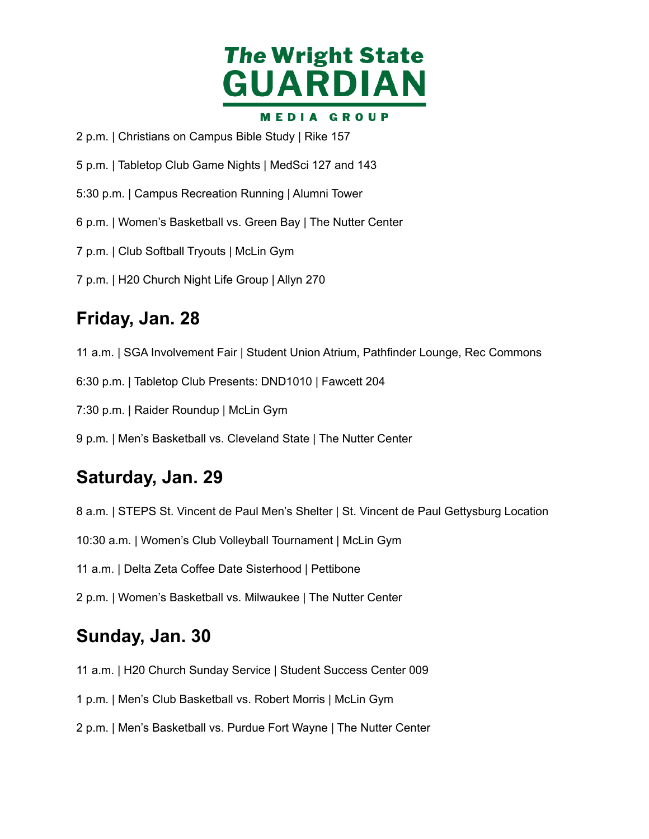

- p.m. | Christians on Campus Bible Study | Rike 157
- p.m. | Tabletop Club Game Nights | MedSci 127 and 143
- 5:30 p.m. | Campus Recreation Running | Alumni Tower
- p.m. | Women's Basketball vs. Green Bay | The Nutter Center
- p.m. | Club Softball Tryouts | McLin Gym
- p.m. | H20 Church Night Life Group | Allyn 270

### **Friday, Jan. 28**

a.m. | SGA Involvement Fair | Student Union Atrium, Pathfinder Lounge, Rec Commons

6:30 p.m. | Tabletop Club Presents: DND1010 | Fawcett 204

7:30 p.m. | Raider Roundup | McLin Gym

p.m. | Men's Basketball vs. Cleveland State | The Nutter Center

### **Saturday, Jan. 29**

a.m. | STEPS St. Vincent de Paul Men's Shelter | St. Vincent de Paul Gettysburg Location

10:30 a.m. | Women's Club Volleyball Tournament | McLin Gym

a.m. | Delta Zeta Coffee Date Sisterhood | Pettibone

p.m. | Women's Basketball vs. Milwaukee | The Nutter Center

#### **Sunday, Jan. 30**

a.m. | H20 Church Sunday Service | Student Success Center 009

p.m. | Men's Club Basketball vs. Robert Morris | McLin Gym

p.m. | Men's Basketball vs. Purdue Fort Wayne | The Nutter Center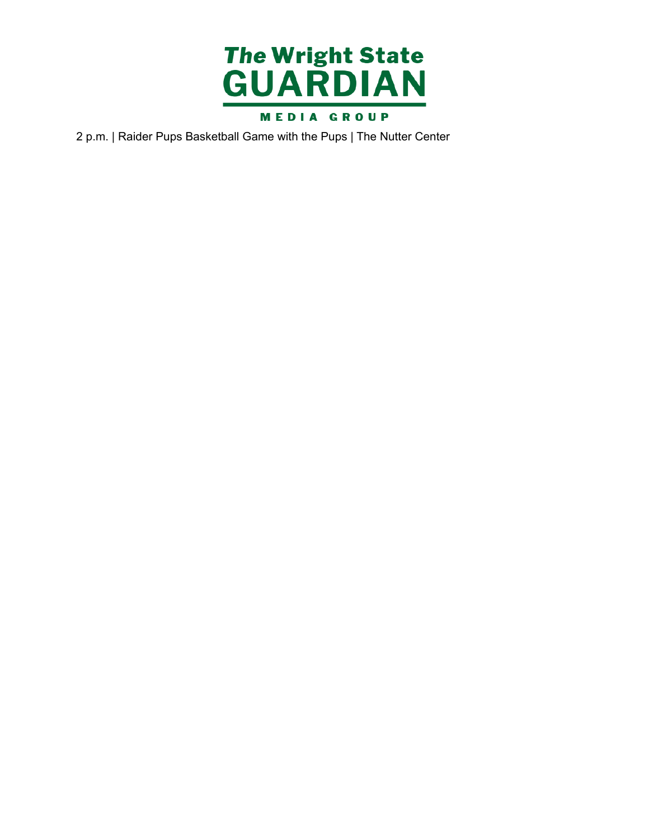

2 p.m. | Raider Pups Basketball Game with the Pups | The Nutter Center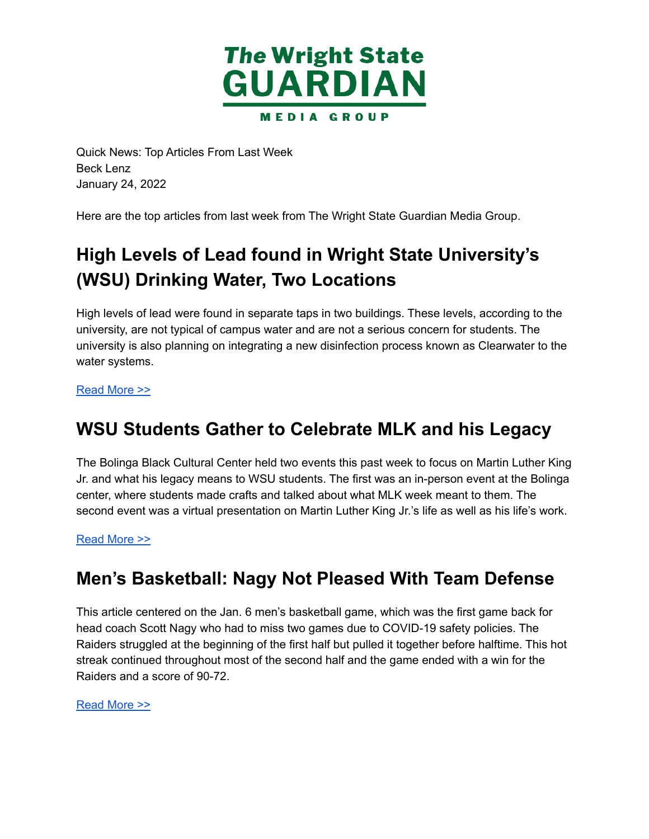

 Quick News: Top Articles From Last Week January 24, 2022 Beck Lenz

Here are the top articles from last week from The Wright State Guardian Media Group.

# **High Levels of Lead found in Wright State University's (WSU) Drinking Water, Two Locations**

 High levels of lead were found in separate taps in two buildings. These levels, according to the university, are not typical of campus water and are not a serious concern for students. The university is also planning on integrating a new disinfection process known as Clearwater to the water systems.

#### [Read](https://wsuguardian.com/high-levels-of-lead-found-in-wsu-drinking-water-two-locations/) More >>

### **WSU Students Gather to Celebrate MLK and his Legacy**

 The Bolinga Black Cultural Center held two events this past week to focus on Martin Luther King Jr. and what his legacy means to WSU students. The first was an in-person event at the Bolinga center, where students made crafts and talked about what MLK week meant to them. The second event was a virtual presentation on Martin Luther King Jr.'s life as well as his life's work.

#### [Read](https://wsuguardian.com/wsu-students-gather-to-celebrate-mlk-and-his-legacy/) More >>

### **Men's Basketball: Nagy Not Pleased With Team Defense**

 This article centered on the Jan. 6 men's basketball game, which was the first game back for head coach Scott Nagy who had to miss two games due to COVID-19 safety policies. The Raiders struggled at the beginning of the first half but pulled it together before halftime. This hot streak continued throughout most of the second half and the game ended with a win for the Raiders and a score of 90-72.

#### [Read](https://wsuguardian.com/mens-basketball-nagy-not-pleased-with-team-defense/) More >>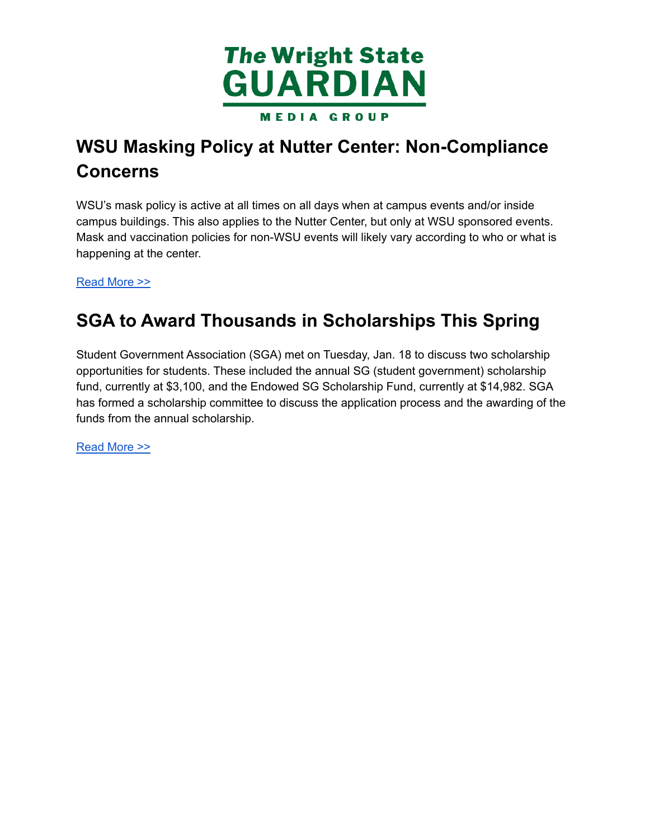

# **WSU Masking Policy at Nutter Center: Non-Compliance Concerns**

 WSU's mask policy is active at all times on all days when at campus events and/or inside campus buildings. This also applies to the Nutter Center, but only at WSU sponsored events. Mask and vaccination policies for non-WSU events will likely vary according to who or what is happening at the center.

[Read](https://wsuguardian.com/wsu-masking-policy-at-nutter-center-non-compliance-concerns/) More >>

# **SGA to Award Thousands in Scholarships This Spring**

 Student Government Association (SGA) met on Tuesday, Jan. 18 to discuss two scholarship opportunities for students. These included the annual SG (student government) scholarship fund, currently at \$3,100, and the Endowed SG Scholarship Fund, currently at \$14,982. SGA has formed a scholarship committee to discuss the application process and the awarding of the funds from the annual scholarship.

[Read](https://wsuguardian.com/sga-to-award-thousands-in-scholarships-this-spring/) More >>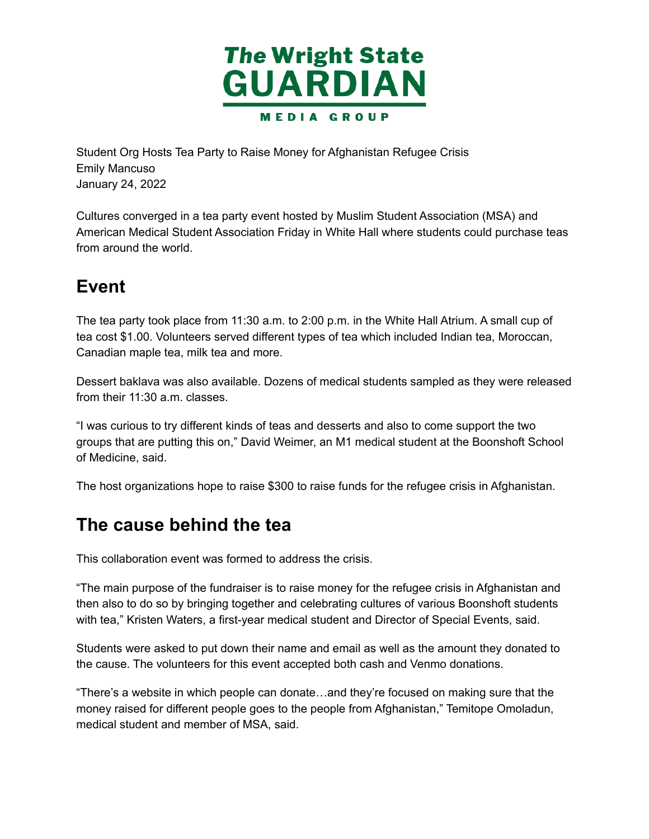

 Student Org Hosts Tea Party to Raise Money for Afghanistan Refugee Crisis January 24, 2022 Emily Mancuso

 Cultures converged in a tea party event hosted by Muslim Student Association (MSA) and American Medical Student Association Friday in White Hall where students could purchase teas from around the world.

## **Event**

 The tea party took place from 11:30 a.m. to 2:00 p.m. in the White Hall Atrium. A small cup of tea cost \$1.00. Volunteers served different types of tea which included Indian tea, Moroccan, Canadian maple tea, milk tea and more.

 Dessert baklava was also available. Dozens of medical students sampled as they were released from their 11:30 a.m. classes.

 "I was curious to try different kinds of teas and desserts and also to come support the two groups that are putting this on," David Weimer, an M1 medical student at the Boonshoft School of Medicine, said.

The host organizations hope to raise \$300 to raise funds for the refugee crisis in Afghanistan.

### **The cause behind the tea**

This collaboration event was formed to address the crisis.

 "The main purpose of the fundraiser is to raise money for the refugee crisis in Afghanistan and then also to do so by bringing together and celebrating cultures of various Boonshoft students with tea," Kristen Waters, a first-year medical student and Director of Special Events, said.

 Students were asked to put down their name and email as well as the amount they donated to the cause. The volunteers for this event accepted both cash and Venmo donations.

 "There's a website in which people can donate…and they're focused on making sure that the money raised for different people goes to the people from Afghanistan," Temitope Omoladun, medical student and member of MSA, said.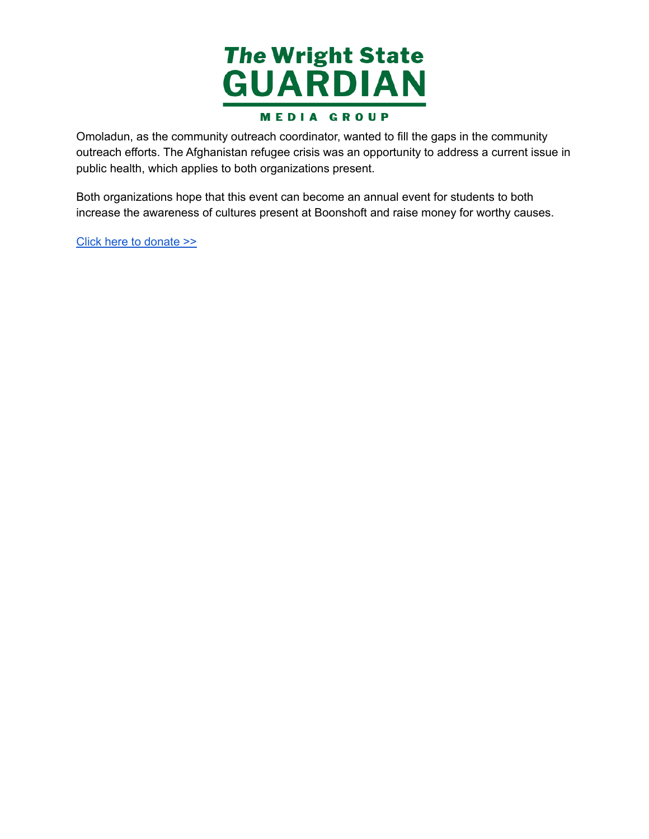

 Omoladun, as the community outreach coordinator, wanted to fill the gaps in the community outreach efforts. The Afghanistan refugee crisis was an opportunity to address a current issue in public health, which applies to both organizations present.

 Both organizations hope that this event can become an annual event for students to both increase the awareness of cultures present at Boonshoft and raise money for worthy causes.

Click here to [donate](https://www.launchgood.com/campaign/help_displaced_afghans_resettle_in_the_usa?src=internal_discover#) >>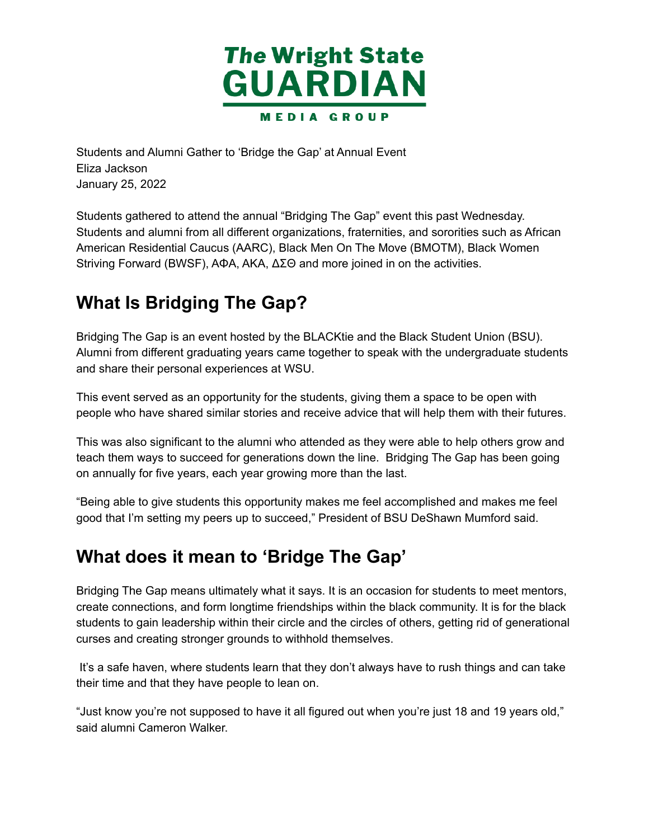

 Students and Alumni Gather to 'Bridge the Gap' at Annual Event January 25, 2022 Eliza Jackson

 Students gathered to attend the annual "Bridging The Gap" event this past Wednesday. Students and alumni from all different organizations, fraternities, and sororities such as African American Residential Caucus (AARC), Black Men On The Move (BMOTM), Black Women Striving Forward (BWSF), AΦA, AKA, ΔΣΘ and more joined in on the activities.

# **What Is Bridging The Gap?**

 Bridging The Gap is an event hosted by the BLACKtie and the Black Student Union (BSU). Alumni from different graduating years came together to speak with the undergraduate students and share their personal experiences at WSU.

 This event served as an opportunity for the students, giving them a space to be open with people who have shared similar stories and receive advice that will help them with their futures.

 This was also significant to the alumni who attended as they were able to help others grow and teach them ways to succeed for generations down the line. Bridging The Gap has been going on annually for five years, each year growing more than the last.

 "Being able to give students this opportunity makes me feel accomplished and makes me feel good that I'm setting my peers up to succeed," President of BSU DeShawn Mumford said.

# **What does it mean to 'Bridge The Gap'**

 Bridging The Gap means ultimately what it says. It is an occasion for students to meet mentors, create connections, and form longtime friendships within the black community. It is for the black students to gain leadership within their circle and the circles of others, getting rid of generational curses and creating stronger grounds to withhold themselves.

 It's a safe haven, where students learn that they don't always have to rush things and can take their time and that they have people to lean on.

 "Just know you're not supposed to have it all figured out when you're just 18 and 19 years old," said alumni Cameron Walker.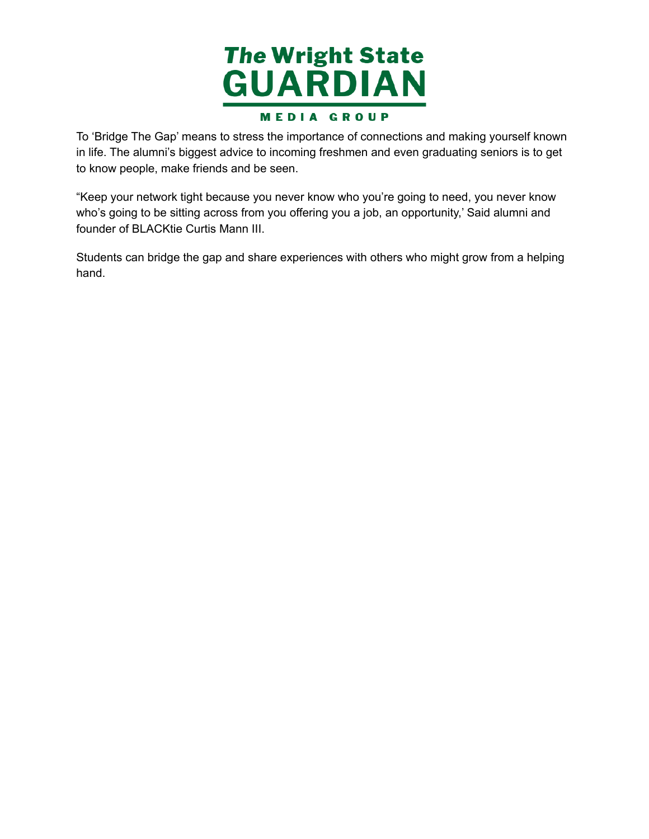

 To 'Bridge The Gap' means to stress the importance of connections and making yourself known in life. The alumni's biggest advice to incoming freshmen and even graduating seniors is to get to know people, make friends and be seen.

 "Keep your network tight because you never know who you're going to need, you never know who's going to be sitting across from you offering you a job, an opportunity,' Said alumni and founder of BLACKtie Curtis Mann III.

 Students can bridge the gap and share experiences with others who might grow from a helping hand.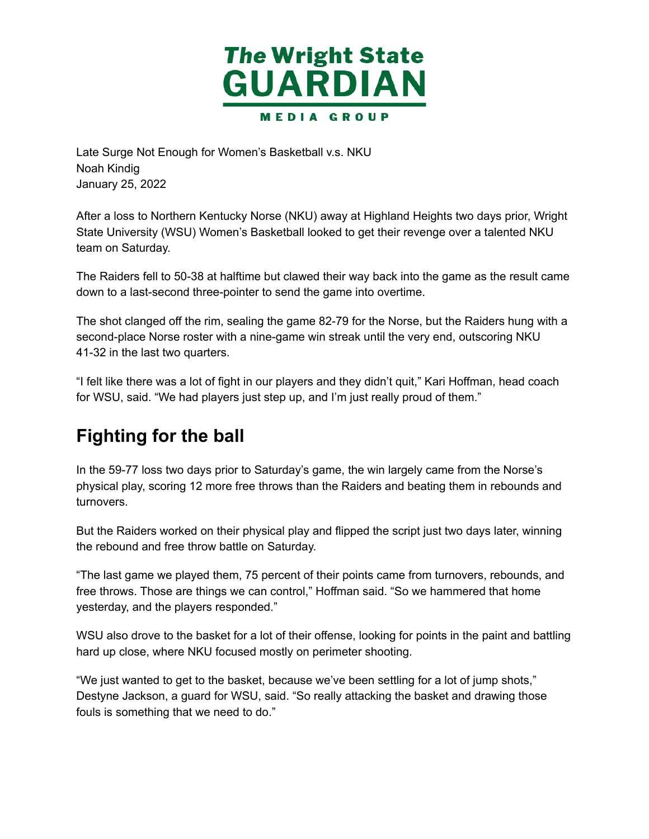

 Late Surge Not Enough for Women's Basketball v.s. NKU January 25, 2022 Noah Kindig

 After a loss to Northern Kentucky Norse (NKU) away at Highland Heights two days prior, Wright State University (WSU) Women's Basketball looked to get their revenge over a talented NKU team on Saturday.

 The Raiders fell to 50-38 at halftime but clawed their way back into the game as the result came down to a last-second three-pointer to send the game into overtime.

 The shot clanged off the rim, sealing the game 82-79 for the Norse, but the Raiders hung with a second-place Norse roster with a nine-game win streak until the very end, outscoring NKU 41-32 in the last two quarters.

 "I felt like there was a lot of fight in our players and they didn't quit," Kari Hoffman, head coach for WSU, said. "We had players just step up, and I'm just really proud of them."

# **Fighting for the ball**

 In the 59-77 loss two days prior to Saturday's game, the win largely came from the Norse's physical play, scoring 12 more free throws than the Raiders and beating them in rebounds and turnovers.

 But the Raiders worked on their physical play and flipped the script just two days later, winning the rebound and free throw battle on Saturday.

 "The last game we played them, 75 percent of their points came from turnovers, rebounds, and free throws. Those are things we can control," Hoffman said. "So we hammered that home yesterday, and the players responded."

 WSU also drove to the basket for a lot of their offense, looking for points in the paint and battling hard up close, where NKU focused mostly on perimeter shooting.

 "We just wanted to get to the basket, because we've been settling for a lot of jump shots," Destyne Jackson, a guard for WSU, said. "So really attacking the basket and drawing those fouls is something that we need to do."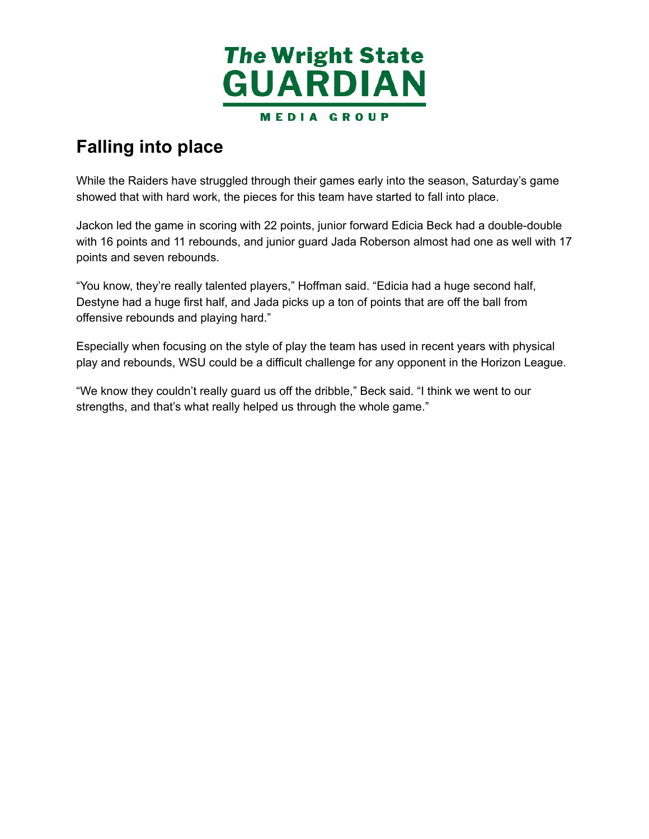

# **Falling into place**

 While the Raiders have struggled through their games early into the season, Saturday's game showed that with hard work, the pieces for this team have started to fall into place.

 Jackon led the game in scoring with 22 points, junior forward Edicia Beck had a double-double with 16 points and 11 rebounds, and junior guard Jada Roberson almost had one as well with 17 points and seven rebounds.

 "You know, they're really talented players," Hoffman said. "Edicia had a huge second half, Destyne had a huge first half, and Jada picks up a ton of points that are off the ball from offensive rebounds and playing hard."

 Especially when focusing on the style of play the team has used in recent years with physical play and rebounds, WSU could be a difficult challenge for any opponent in the Horizon League.

 "We know they couldn't really guard us off the dribble," Beck said. "I think we went to our strengths, and that's what really helped us through the whole game."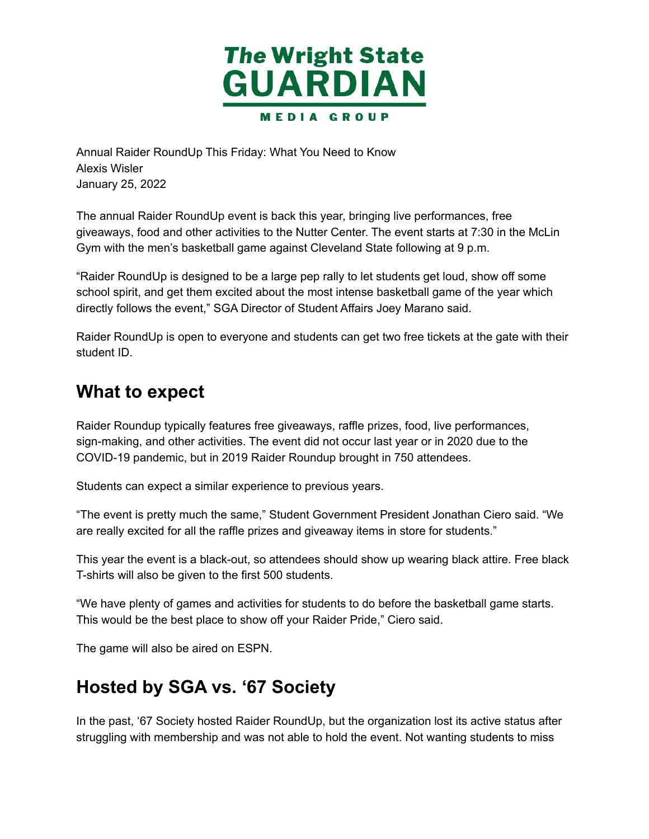

 Annual Raider RoundUp This Friday: What You Need to Know January 25, 2022 Alexis Wisler

 The annual Raider RoundUp event is back this year, bringing live performances, free giveaways, food and other activities to the Nutter Center. The event starts at 7:30 in the McLin Gym with the men's basketball game against Cleveland State following at 9 p.m.

 "Raider RoundUp is designed to be a large pep rally to let students get loud, show off some school spirit, and get them excited about the most intense basketball game of the year which directly follows the event," SGA Director of Student Affairs Joey Marano said.

 Raider RoundUp is open to everyone and students can get two free tickets at the gate with their student ID.

#### **What to expect**

 Raider Roundup typically features free giveaways, raffle prizes, food, live performances, sign-making, and other activities. The event did not occur last year or in 2020 due to the COVID-19 pandemic, but in 2019 Raider Roundup brought in 750 attendees.

Students can expect a similar experience to previous years.

 "The event is pretty much the same," Student Government President Jonathan Ciero said. "We are really excited for all the raffle prizes and giveaway items in store for students."

 This year the event is a black-out, so attendees should show up wearing black attire. Free black T-shirts will also be given to the first 500 students.

 "We have plenty of games and activities for students to do before the basketball game starts. This would be the best place to show off your Raider Pride," Ciero said.

The game will also be aired on ESPN.

### **Hosted by SGA vs. '67 Society**

 In the past, '67 Society hosted Raider RoundUp, but the organization lost its active status after struggling with membership and was not able to hold the event. Not wanting students to miss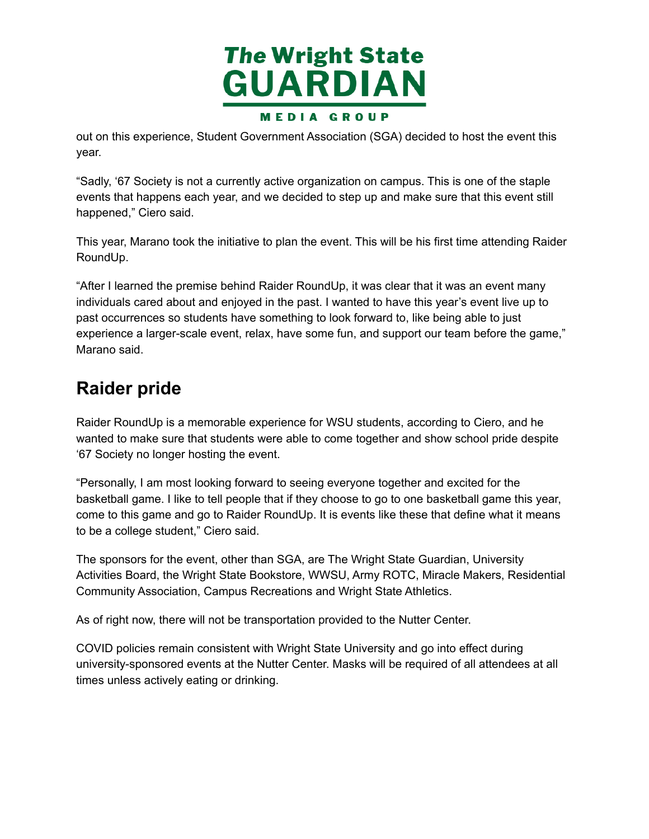

 out on this experience, Student Government Association (SGA) decided to host the event this year.

 "Sadly, '67 Society is not a currently active organization on campus. This is one of the staple events that happens each year, and we decided to step up and make sure that this event still happened," Ciero said.

 This year, Marano took the initiative to plan the event. This will be his first time attending Raider RoundUp.

 "After I learned the premise behind Raider RoundUp, it was clear that it was an event many individuals cared about and enjoyed in the past. I wanted to have this year's event live up to past occurrences so students have something to look forward to, like being able to just experience a larger-scale event, relax, have some fun, and support our team before the game," Marano said.

# **Raider pride**

 Raider RoundUp is a memorable experience for WSU students, according to Ciero, and he wanted to make sure that students were able to come together and show school pride despite '67 Society no longer hosting the event.

 "Personally, I am most looking forward to seeing everyone together and excited for the basketball game. I like to tell people that if they choose to go to one basketball game this year, come to this game and go to Raider RoundUp. It is events like these that define what it means to be a college student," Ciero said.

 The sponsors for the event, other than SGA, are The Wright State Guardian, University Activities Board, the Wright State Bookstore, WWSU, Army ROTC, Miracle Makers, Residential Community Association, Campus Recreations and Wright State Athletics.

As of right now, there will not be transportation provided to the Nutter Center.

 COVID policies remain consistent with Wright State University and go into effect during university-sponsored events at the Nutter Center. Masks will be required of all attendees at all times unless actively eating or drinking.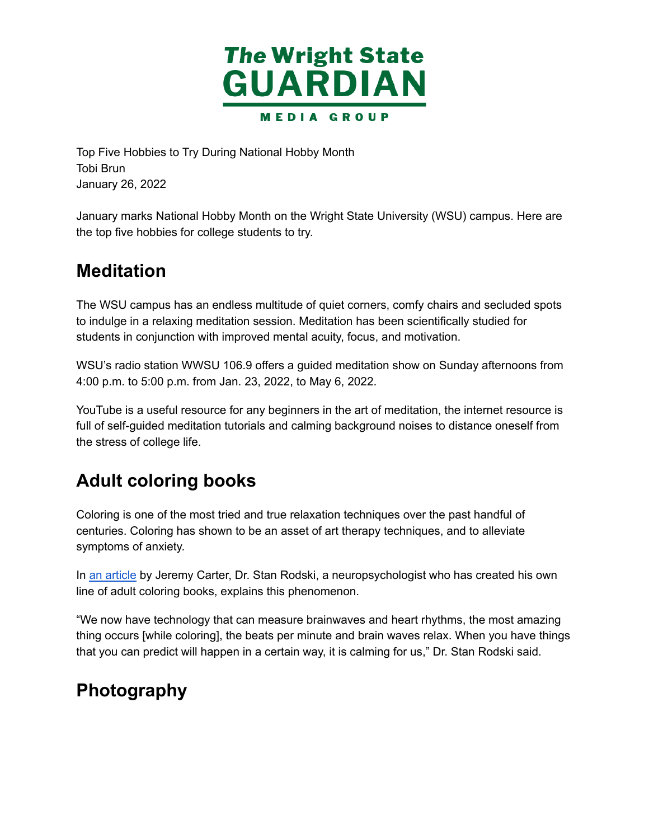

 Top Five Hobbies to Try During National Hobby Month January 26, 2022 Tobi Brun

 January marks National Hobby Month on the Wright State University (WSU) campus. Here are the top five hobbies for college students to try.

### **Meditation**

 The WSU campus has an endless multitude of quiet corners, comfy chairs and secluded spots to indulge in a relaxing meditation session. Meditation has been scientifically studied for students in conjunction with improved mental acuity, focus, and motivation.

WSU's radio station WWSU 106.9 offers a guided meditation show on Sunday afternoons from 4:00 p.m. to 5:00 p.m. from Jan. 23, 2022, to May 6, 2022.

 YouTube is a useful resource for any beginners in the art of meditation, the internet resource is full of self-guided meditation tutorials and calming background noises to distance oneself from the stress of college life.

# **Adult coloring books**

 Coloring is one of the most tried and true relaxation techniques over the past handful of centuries. Coloring has shown to be an asset of art therapy techniques, and to alleviate symptoms of anxiety.

In an [article](https://www.abc.net.au/radionational/programs/archived/booksandarts/why-are-australian-adults-drawn-to-colouring-in-books/6750808) by Jeremy Carter, Dr. Stan Rodski, a neuropsychologist who has created his own line of adult coloring books, explains this phenomenon.

 "We now have technology that can measure brainwaves and heart rhythms, the most amazing thing occurs [while coloring], the beats per minute and brain waves relax. When you have things that you can predict will happen in a certain way, it is calming for us," Dr. Stan Rodski said.

# **Photography**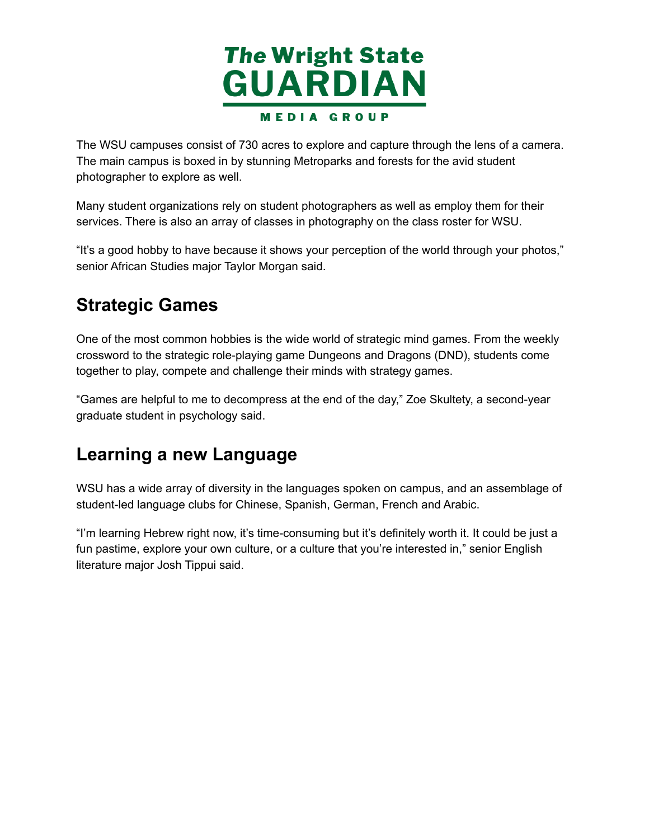

 The WSU campuses consist of 730 acres to explore and capture through the lens of a camera. The main campus is boxed in by stunning Metroparks and forests for the avid student photographer to explore as well.

 Many student organizations rely on student photographers as well as employ them for their services. There is also an array of classes in photography on the class roster for WSU.

 "It's a good hobby to have because it shows your perception of the world through your photos," senior African Studies major Taylor Morgan said.

## **Strategic Games**

 One of the most common hobbies is the wide world of strategic mind games. From the weekly crossword to the strategic role-playing game Dungeons and Dragons (DND), students come together to play, compete and challenge their minds with strategy games.

 "Games are helpful to me to decompress at the end of the day," Zoe Skultety, a second-year graduate student in psychology said.

### **Learning a new Language**

 WSU has a wide array of diversity in the languages spoken on campus, and an assemblage of student-led language clubs for Chinese, Spanish, German, French and Arabic.

 "I'm learning Hebrew right now, it's time-consuming but it's definitely worth it. It could be just a fun pastime, explore your own culture, or a culture that you're interested in," senior English literature major Josh Tippui said.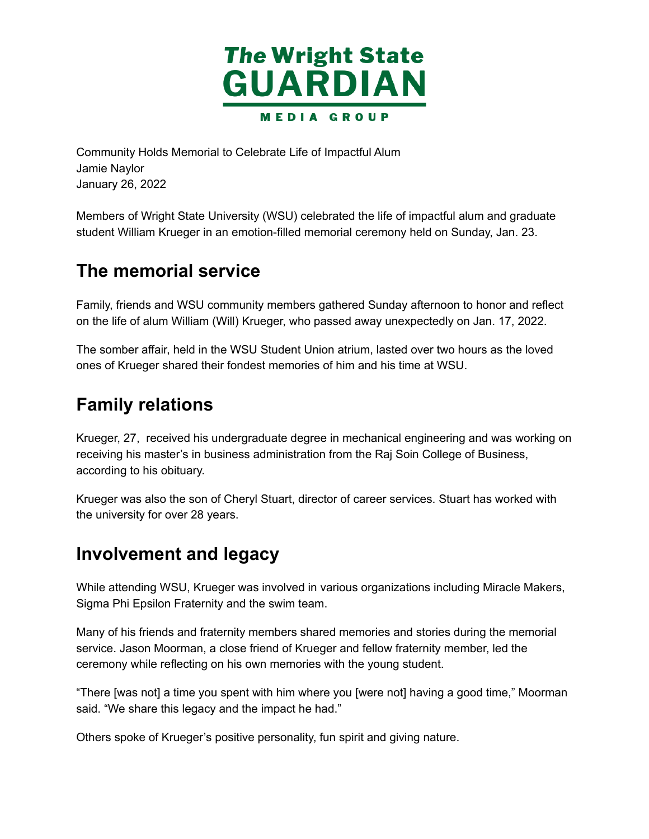

 Community Holds Memorial to Celebrate Life of Impactful Alum January 26, 2022 Jamie Naylor

 Members of Wright State University (WSU) celebrated the life of impactful alum and graduate student William Krueger in an emotion-filled memorial ceremony held on Sunday, Jan. 23.

## **The memorial service**

 Family, friends and WSU community members gathered Sunday afternoon to honor and reflect on the life of alum William (Will) Krueger, who passed away unexpectedly on Jan. 17, 2022.

 The somber affair, held in the WSU Student Union atrium, lasted over two hours as the loved ones of Krueger shared their fondest memories of him and his time at WSU.

# **Family relations**

 Krueger, 27, received his undergraduate degree in mechanical engineering and was working on receiving his master's in business administration from the Raj Soin College of Business, according to his obituary.

 Krueger was also the son of Cheryl Stuart, director of career services. Stuart has worked with the university for over 28 years.

### **Involvement and legacy**

 While attending WSU, Krueger was involved in various organizations including Miracle Makers, Sigma Phi Epsilon Fraternity and the swim team.

 Many of his friends and fraternity members shared memories and stories during the memorial service. Jason Moorman, a close friend of Krueger and fellow fraternity member, led the ceremony while reflecting on his own memories with the young student.

 "There [was not] a time you spent with him where you [were not] having a good time," Moorman said. "We share this legacy and the impact he had."

Others spoke of Krueger's positive personality, fun spirit and giving nature.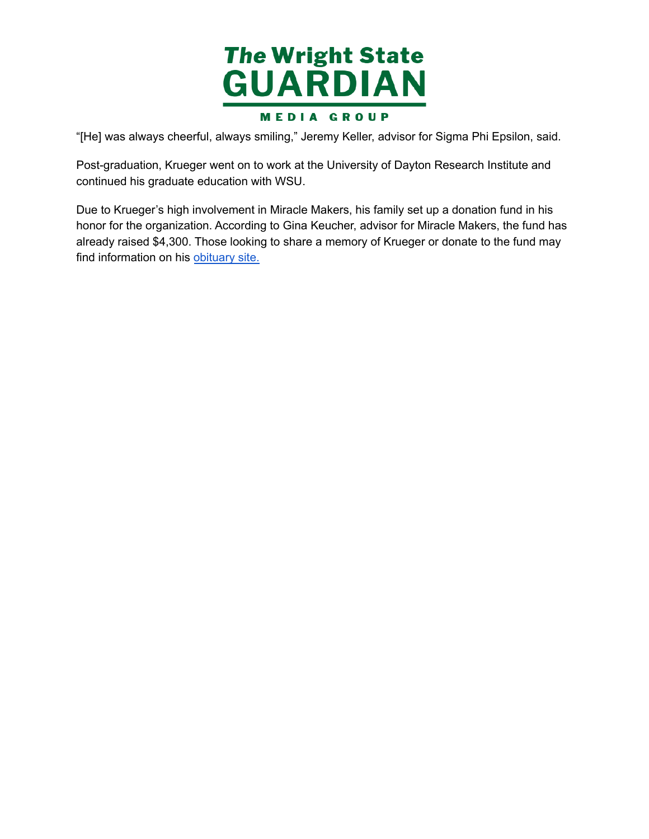

"[He] was always cheerful, always smiling," Jeremy Keller, advisor for Sigma Phi Epsilon, said.

 Post-graduation, Krueger went on to work at the University of Dayton Research Institute and continued his graduate education with WSU.

Due to Krueger's high involvement in Miracle Makers, his family set up a donation fund in his honor for the organization. According to Gina Keucher, advisor for Miracle Makers, the fund has already raised \$4,300. Those looking to share a memory of Krueger or donate to the fund may find information on his [obituary](https://www.westbrockfuneralhome.com/obituaries/Will-Krueger/#!/Obituary) site.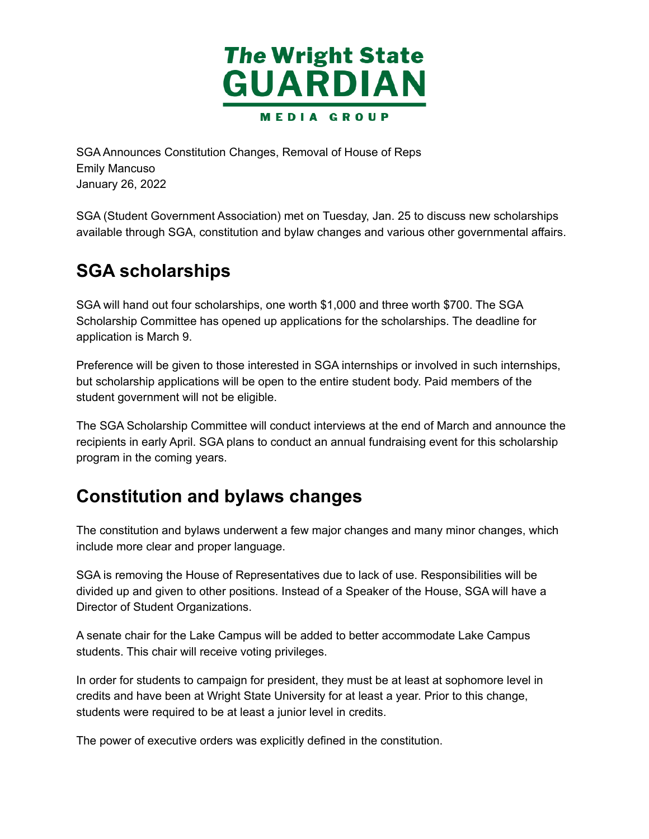

 SGA Announces Constitution Changes, Removal of House of Reps January 26, 2022 Emily Mancuso

 SGA (Student Government Association) met on Tuesday, Jan. 25 to discuss new scholarships available through SGA, constitution and bylaw changes and various other governmental affairs.

# **SGA scholarships**

 SGA will hand out four scholarships, one worth \$1,000 and three worth \$700. The SGA Scholarship Committee has opened up applications for the scholarships. The deadline for application is March 9.

 Preference will be given to those interested in SGA internships or involved in such internships, but scholarship applications will be open to the entire student body. Paid members of the student government will not be eligible.

 The SGA Scholarship Committee will conduct interviews at the end of March and announce the recipients in early April. SGA plans to conduct an annual fundraising event for this scholarship program in the coming years.

### **Constitution and bylaws changes**

 The constitution and bylaws underwent a few major changes and many minor changes, which include more clear and proper language.

 SGA is removing the House of Representatives due to lack of use. Responsibilities will be divided up and given to other positions. Instead of a Speaker of the House, SGA will have a Director of Student Organizations.

 A senate chair for the Lake Campus will be added to better accommodate Lake Campus students. This chair will receive voting privileges.

 In order for students to campaign for president, they must be at least at sophomore level in credits and have been at Wright State University for at least a year. Prior to this change, students were required to be at least a junior level in credits.

The power of executive orders was explicitly defined in the constitution.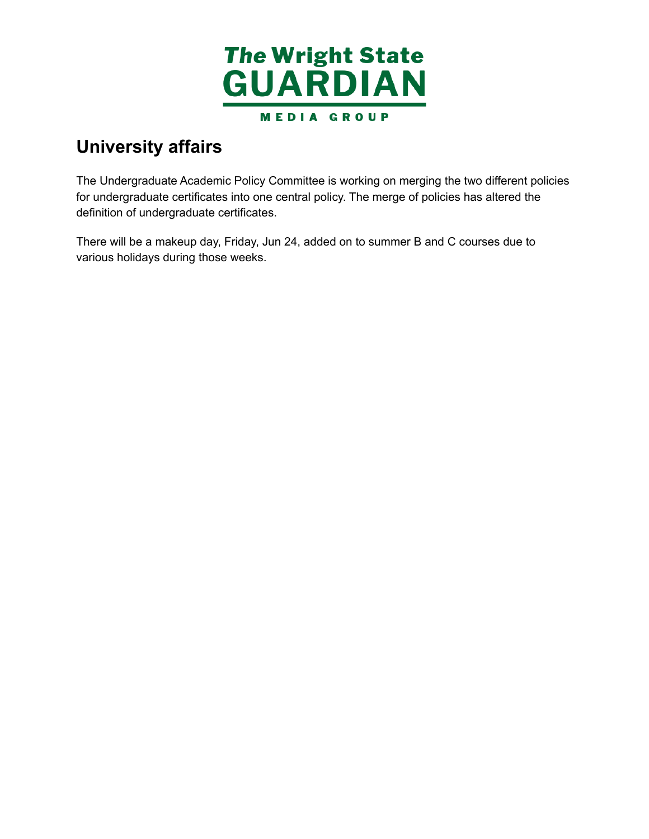

# **University affairs**

 The Undergraduate Academic Policy Committee is working on merging the two different policies for undergraduate certificates into one central policy. The merge of policies has altered the definition of undergraduate certificates.

 There will be a makeup day, Friday, Jun 24, added on to summer B and C courses due to various holidays during those weeks.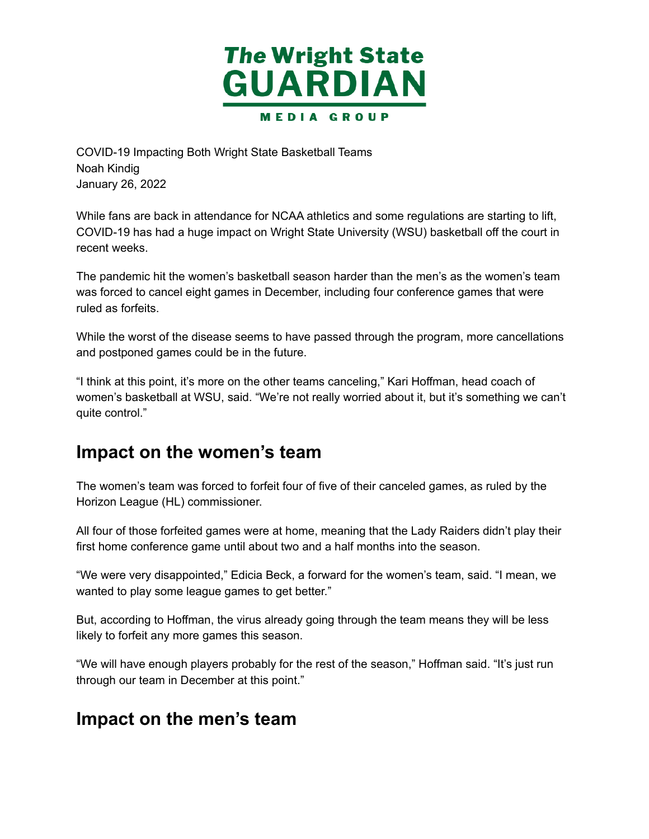

 COVID-19 Impacting Both Wright State Basketball Teams January 26, 2022 Noah Kindig

 While fans are back in attendance for NCAA athletics and some regulations are starting to lift, COVID-19 has had a huge impact on Wright State University (WSU) basketball off the court in recent weeks.

 The pandemic hit the women's basketball season harder than the men's as the women's team was forced to cancel eight games in December, including four conference games that were ruled as forfeits.

 While the worst of the disease seems to have passed through the program, more cancellations and postponed games could be in the future.

 "I think at this point, it's more on the other teams canceling," Kari Hoffman, head coach of women's basketball at WSU, said. "We're not really worried about it, but it's something we can't quite control."

### **Impact on the women's team**

 The women's team was forced to forfeit four of five of their canceled games, as ruled by the Horizon League (HL) commissioner.

 All four of those forfeited games were at home, meaning that the Lady Raiders didn't play their first home conference game until about two and a half months into the season.

 "We were very disappointed," Edicia Beck, a forward for the women's team, said. "I mean, we wanted to play some league games to get better."

 But, according to Hoffman, the virus already going through the team means they will be less likely to forfeit any more games this season.

 "We will have enough players probably for the rest of the season," Hoffman said. "It's just run through our team in December at this point."

### **Impact on the men's team**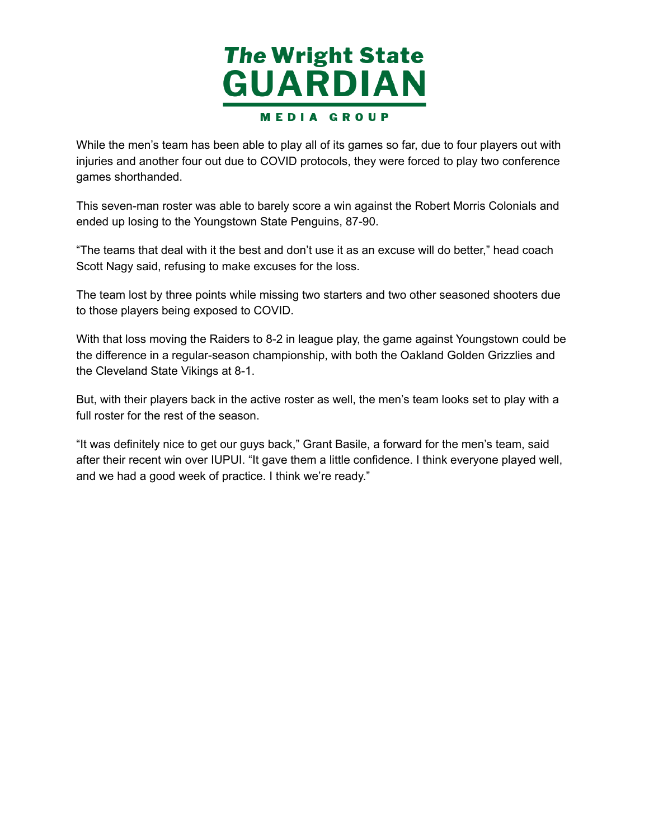

 While the men's team has been able to play all of its games so far, due to four players out with injuries and another four out due to COVID protocols, they were forced to play two conference games shorthanded.

 This seven-man roster was able to barely score a win against the Robert Morris Colonials and ended up losing to the Youngstown State Penguins, 87-90.

 "The teams that deal with it the best and don't use it as an excuse will do better," head coach Scott Nagy said, refusing to make excuses for the loss.

 The team lost by three points while missing two starters and two other seasoned shooters due to those players being exposed to COVID.

 With that loss moving the Raiders to 8-2 in league play, the game against Youngstown could be the difference in a regular-season championship, with both the Oakland Golden Grizzlies and the Cleveland State Vikings at 8-1.

 But, with their players back in the active roster as well, the men's team looks set to play with a full roster for the rest of the season.

 "It was definitely nice to get our guys back," Grant Basile, a forward for the men's team, said after their recent win over IUPUI. "It gave them a little confidence. I think everyone played well, and we had a good week of practice. I think we're ready."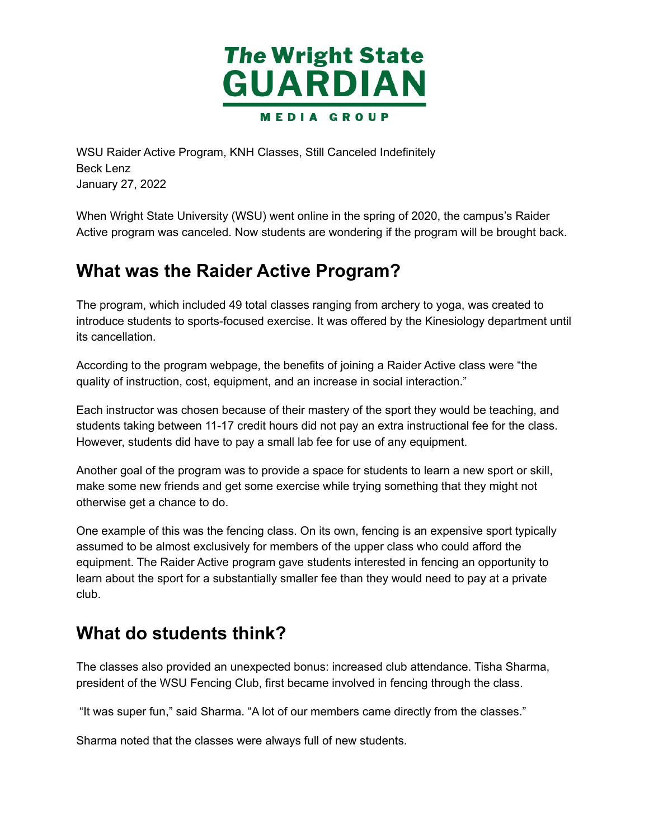

 WSU Raider Active Program, KNH Classes, Still Canceled Indefinitely January 27, 2022 Beck Lenz

 When Wright State University (WSU) went online in the spring of 2020, the campus's Raider Active program was canceled. Now students are wondering if the program will be brought back.

# **What was the Raider Active Program?**

 The program, which included 49 total classes ranging from archery to yoga, was created to introduce students to sports-focused exercise. It was offered by the Kinesiology department until its cancellation.

 According to the program webpage, the benefits of joining a Raider Active class were "the quality of instruction, cost, equipment, and an increase in social interaction."

 Each instructor was chosen because of their mastery of the sport they would be teaching, and students taking between 11-17 credit hours did not pay an extra instructional fee for the class. However, students did have to pay a small lab fee for use of any equipment.

 Another goal of the program was to provide a space for students to learn a new sport or skill, make some new friends and get some exercise while trying something that they might not otherwise get a chance to do.

 One example of this was the fencing class. On its own, fencing is an expensive sport typically assumed to be almost exclusively for members of the upper class who could afford the equipment. The Raider Active program gave students interested in fencing an opportunity to learn about the sport for a substantially smaller fee than they would need to pay at a private club.

# **What do students think?**

 The classes also provided an unexpected bonus: increased club attendance. Tisha Sharma, president of the WSU Fencing Club, first became involved in fencing through the class.

"It was super fun," said Sharma. "A lot of our members came directly from the classes."

Sharma noted that the classes were always full of new students.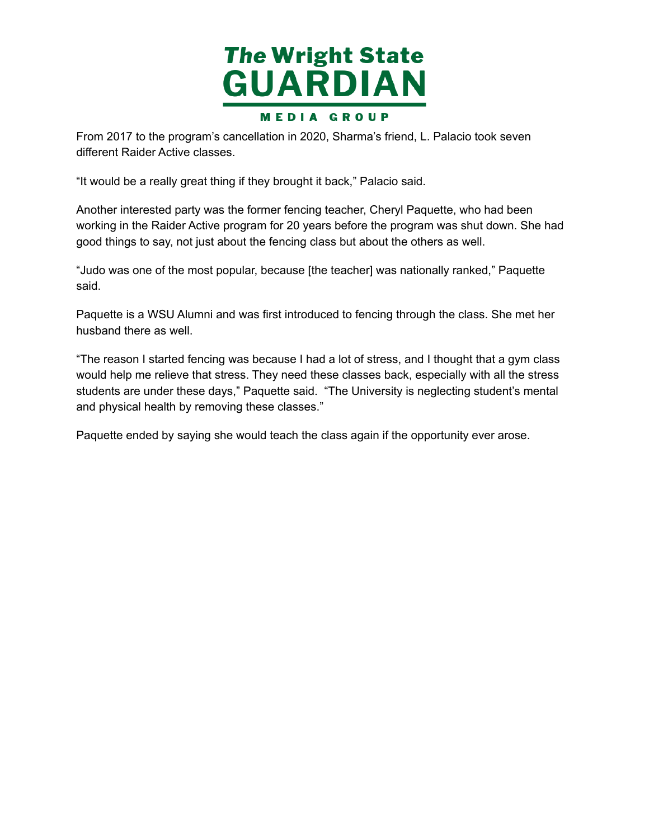

 From 2017 to the program's cancellation in 2020, Sharma's friend, L. Palacio took seven different Raider Active classes.

"It would be a really great thing if they brought it back," Palacio said.

 Another interested party was the former fencing teacher, Cheryl Paquette, who had been working in the Raider Active program for 20 years before the program was shut down. She had good things to say, not just about the fencing class but about the others as well.

 "Judo was one of the most popular, because [the teacher] was nationally ranked," Paquette said.

 Paquette is a WSU Alumni and was first introduced to fencing through the class. She met her husband there as well.

 "The reason I started fencing was because I had a lot of stress, and I thought that a gym class would help me relieve that stress. They need these classes back, especially with all the stress students are under these days," Paquette said. "The University is neglecting student's mental and physical health by removing these classes."

Paquette ended by saying she would teach the class again if the opportunity ever arose.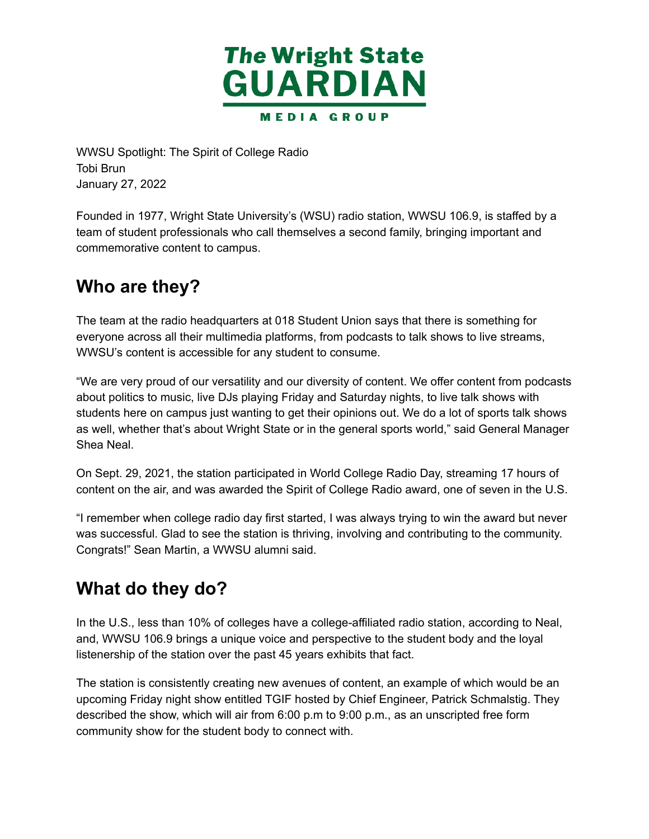

 WWSU Spotlight: The Spirit of College Radio January 27, 2022 Tobi Brun

 Founded in 1977, Wright State University's (WSU) radio station, WWSU 106.9, is staffed by a team of student professionals who call themselves a second family, bringing important and commemorative content to campus.

# **Who are they?**

 The team at the radio headquarters at 018 Student Union says that there is something for everyone across all their multimedia platforms, from podcasts to talk shows to live streams, WWSU's content is accessible for any student to consume.

 "We are very proud of our versatility and our diversity of content. We offer content from podcasts about politics to music, live DJs playing Friday and Saturday nights, to live talk shows with students here on campus just wanting to get their opinions out. We do a lot of sports talk shows as well, whether that's about Wright State or in the general sports world," said General Manager Shea Neal.

 On Sept. 29, 2021, the station participated in World College Radio Day, streaming 17 hours of content on the air, and was awarded the Spirit of College Radio award, one of seven in the U.S.

 "I remember when college radio day first started, I was always trying to win the award but never was successful. Glad to see the station is thriving, involving and contributing to the community. Congrats!" Sean Martin, a WWSU alumni said.

# **What do they do?**

 In the U.S., less than 10% of colleges have a college-affiliated radio station, according to Neal, and, WWSU 106.9 brings a unique voice and perspective to the student body and the loyal listenership of the station over the past 45 years exhibits that fact.

 The station is consistently creating new avenues of content, an example of which would be an upcoming Friday night show entitled TGIF hosted by Chief Engineer, Patrick Schmalstig. They described the show, which will air from 6:00 p.m to 9:00 p.m., as an unscripted free form community show for the student body to connect with.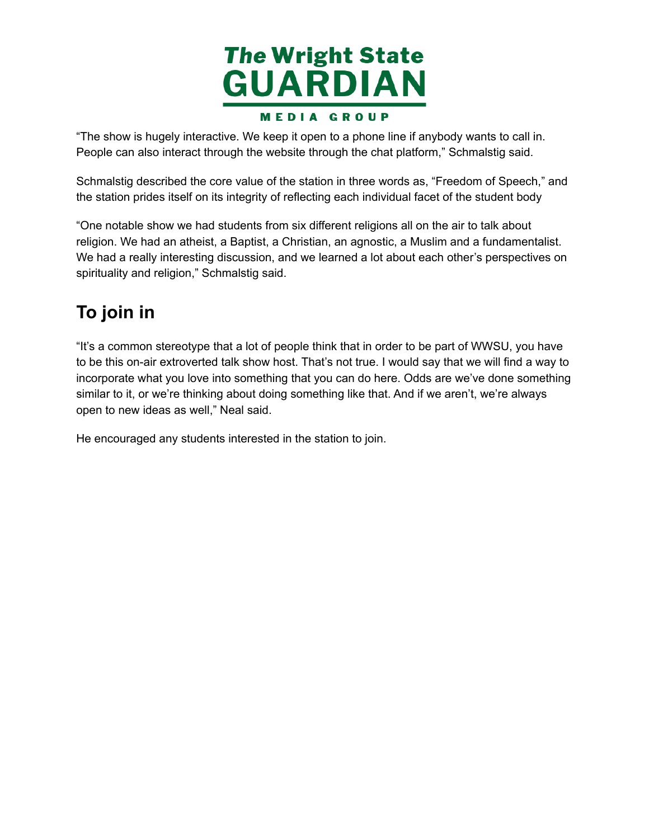

 "The show is hugely interactive. We keep it open to a phone line if anybody wants to call in. People can also interact through the website through the chat platform," Schmalstig said.

 Schmalstig described the core value of the station in three words as, "Freedom of Speech," and the station prides itself on its integrity of reflecting each individual facet of the student body

 "One notable show we had students from six different religions all on the air to talk about religion. We had an atheist, a Baptist, a Christian, an agnostic, a Muslim and a fundamentalist. We had a really interesting discussion, and we learned a lot about each other's perspectives on spirituality and religion," Schmalstig said.

# **To join in**

 "It's a common stereotype that a lot of people think that in order to be part of WWSU, you have to be this on-air extroverted talk show host. That's not true. I would say that we will find a way to incorporate what you love into something that you can do here. Odds are we've done something similar to it, or we're thinking about doing something like that. And if we aren't, we're always open to new ideas as well," Neal said.

He encouraged any students interested in the station to join.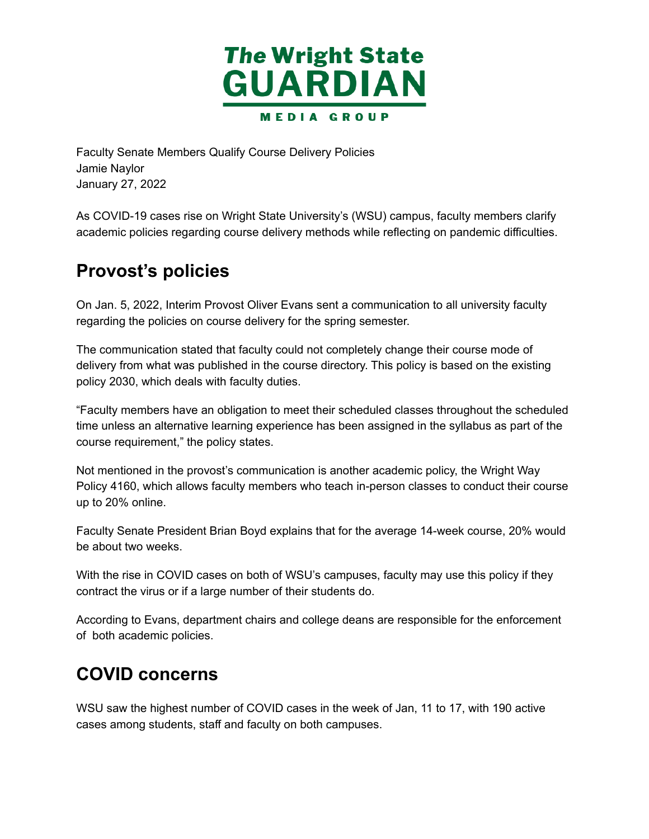

 Faculty Senate Members Qualify Course Delivery Policies January 27, 2022 Jamie Naylor

 As COVID-19 cases rise on Wright State University's (WSU) campus, faculty members clarify academic policies regarding course delivery methods while reflecting on pandemic difficulties.

# **Provost's policies**

 On Jan. 5, 2022, Interim Provost Oliver Evans sent a communication to all university faculty regarding the policies on course delivery for the spring semester.

 The communication stated that faculty could not completely change their course mode of delivery from what was published in the course directory. This policy is based on the existing policy 2030, which deals with faculty duties.

 "Faculty members have an obligation to meet their scheduled classes throughout the scheduled time unless an alternative learning experience has been assigned in the syllabus as part of the course requirement," the policy states.

 Not mentioned in the provost's communication is another academic policy, the Wright Way Policy 4160, which allows faculty members who teach in-person classes to conduct their course up to 20% online.

 Faculty Senate President Brian Boyd explains that for the average 14-week course, 20% would be about two weeks.

 With the rise in COVID cases on both of WSU's campuses, faculty may use this policy if they contract the virus or if a large number of their students do.

 According to Evans, department chairs and college deans are responsible for the enforcement of both academic policies.

### **COVID concerns**

 WSU saw the highest number of COVID cases in the week of Jan, 11 to 17, with 190 active cases among students, staff and faculty on both campuses.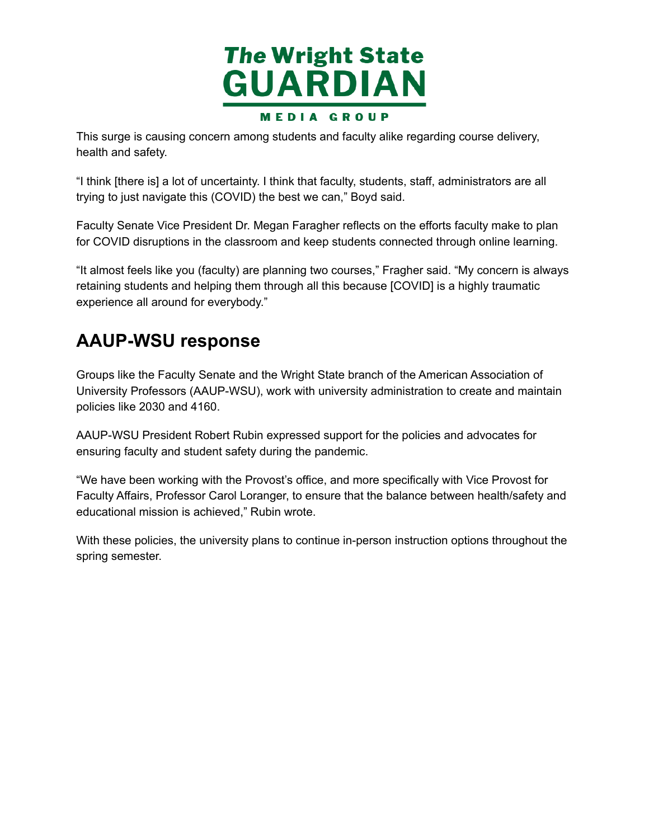

 This surge is causing concern among students and faculty alike regarding course delivery, health and safety.

 "I think [there is] a lot of uncertainty. I think that faculty, students, staff, administrators are all trying to just navigate this (COVID) the best we can," Boyd said.

 Faculty Senate Vice President Dr. Megan Faragher reflects on the efforts faculty make to plan for COVID disruptions in the classroom and keep students connected through online learning.

 "It almost feels like you (faculty) are planning two courses," Fragher said. "My concern is always retaining students and helping them through all this because [COVID] is a highly traumatic experience all around for everybody."

# **AAUP-WSU response**

 Groups like the Faculty Senate and the Wright State branch of the American Association of University Professors (AAUP-WSU), work with university administration to create and maintain policies like 2030 and 4160.

 AAUP-WSU President Robert Rubin expressed support for the policies and advocates for ensuring faculty and student safety during the pandemic.

 "We have been working with the Provost's office, and more specifically with Vice Provost for Faculty Affairs, Professor Carol Loranger, to ensure that the balance between health/safety and educational mission is achieved," Rubin wrote.

 With these policies, the university plans to continue in-person instruction options throughout the spring semester.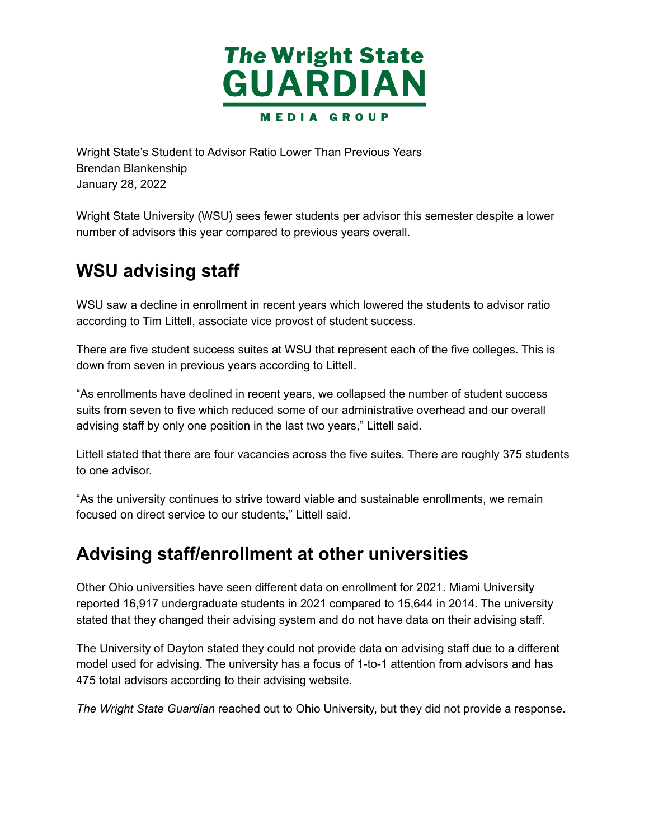

 Wright State's Student to Advisor Ratio Lower Than Previous Years January 28, 2022 Brendan Blankenship

 Wright State University (WSU) sees fewer students per advisor this semester despite a lower number of advisors this year compared to previous years overall.

# **WSU advising staff**

 WSU saw a decline in enrollment in recent years which lowered the students to advisor ratio according to Tim Littell, associate vice provost of student success.

 There are five student success suites at WSU that represent each of the five colleges. This is down from seven in previous years according to Littell.

 "As enrollments have declined in recent years, we collapsed the number of student success suits from seven to five which reduced some of our administrative overhead and our overall advising staff by only one position in the last two years," Littell said.

 Littell stated that there are four vacancies across the five suites. There are roughly 375 students to one advisor.

 "As the university continues to strive toward viable and sustainable enrollments, we remain focused on direct service to our students," Littell said.

### **Advising staff/enrollment at other universities**

 Other Ohio universities have seen different data on enrollment for 2021. Miami University reported 16,917 undergraduate students in 2021 compared to 15,644 in 2014. The university stated that they changed their advising system and do not have data on their advising staff.

 The University of Dayton stated they could not provide data on advising staff due to a different 475 total advisors according to their advising website. model used for advising. The university has a focus of 1-to-1 attention from advisors and has

 *The Wright State Guardian* reached out to Ohio University, but they did not provide a response.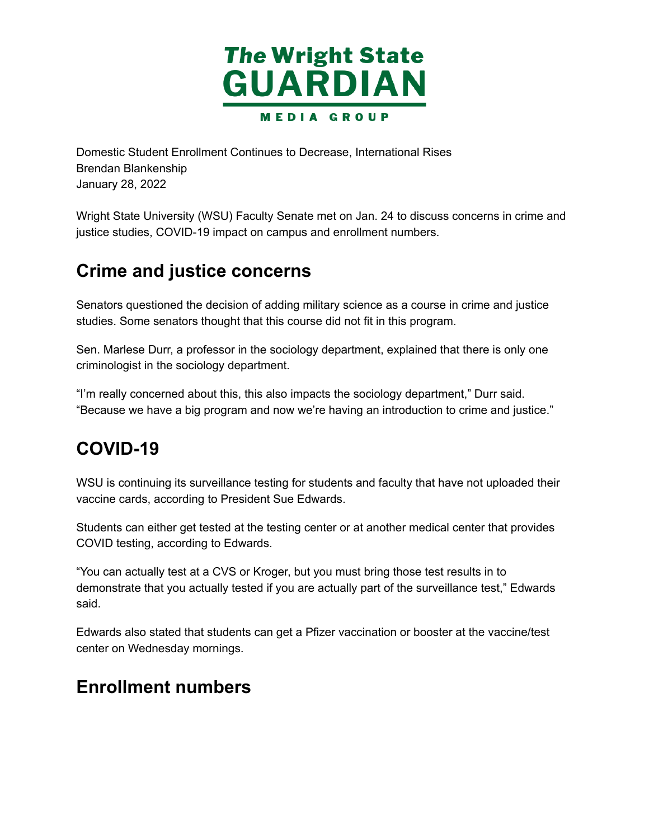

 Domestic Student Enrollment Continues to Decrease, International Rises January 28, 2022 Brendan Blankenship

 Wright State University (WSU) Faculty Senate met on Jan. 24 to discuss concerns in crime and justice studies, COVID-19 impact on campus and enrollment numbers.

# **Crime and justice concerns**

 Senators questioned the decision of adding military science as a course in crime and justice studies. Some senators thought that this course did not fit in this program.

 Sen. Marlese Durr, a professor in the sociology department, explained that there is only one criminologist in the sociology department.

 "I'm really concerned about this, this also impacts the sociology department," Durr said. "Because we have a big program and now we're having an introduction to crime and justice."

# **COVID-19**

 WSU is continuing its surveillance testing for students and faculty that have not uploaded their vaccine cards, according to President Sue Edwards.

 Students can either get tested at the testing center or at another medical center that provides COVID testing, according to Edwards.

 "You can actually test at a CVS or Kroger, but you must bring those test results in to demonstrate that you actually tested if you are actually part of the surveillance test," Edwards said.

 Edwards also stated that students can get a Pfizer vaccination or booster at the vaccine/test center on Wednesday mornings.

### **Enrollment numbers**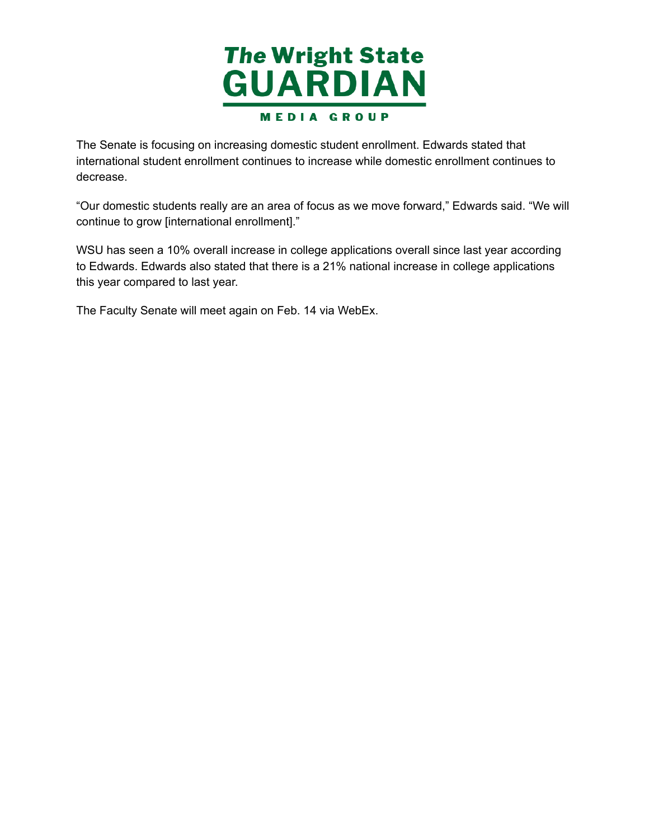

 The Senate is focusing on increasing domestic student enrollment. Edwards stated that international student enrollment continues to increase while domestic enrollment continues to decrease.

 "Our domestic students really are an area of focus as we move forward," Edwards said. "We will continue to grow [international enrollment]."

 WSU has seen a 10% overall increase in college applications overall since last year according to Edwards. Edwards also stated that there is a 21% national increase in college applications this year compared to last year.

The Faculty Senate will meet again on Feb. 14 via WebEx.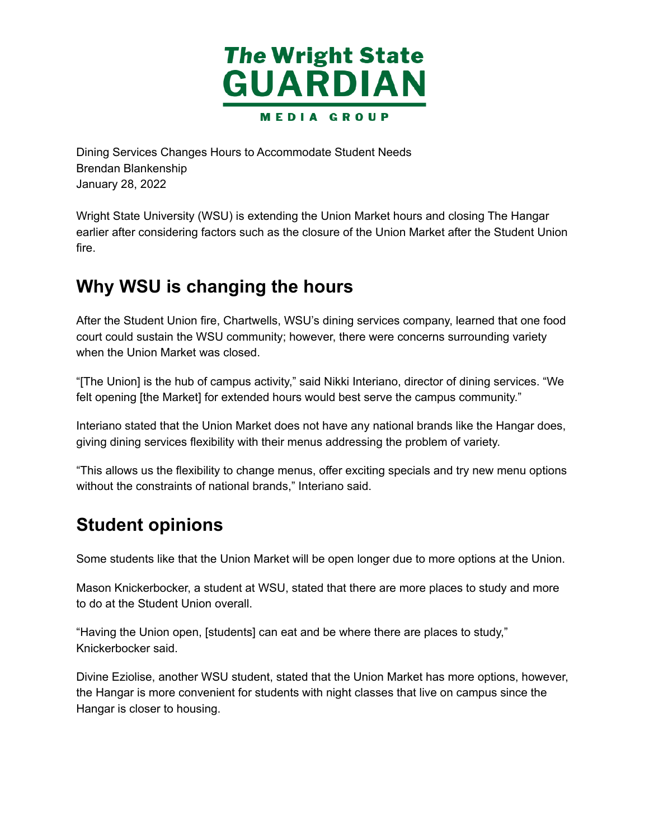

 Dining Services Changes Hours to Accommodate Student Needs January 28, 2022 Brendan Blankenship

 Wright State University (WSU) is extending the Union Market hours and closing The Hangar earlier after considering factors such as the closure of the Union Market after the Student Union fire.

# **Why WSU is changing the hours**

 After the Student Union fire, Chartwells, WSU's dining services company, learned that one food court could sustain the WSU community; however, there were concerns surrounding variety when the Union Market was closed.

 "[The Union] is the hub of campus activity," said Nikki Interiano, director of dining services. "We felt opening [the Market] for extended hours would best serve the campus community."

 Interiano stated that the Union Market does not have any national brands like the Hangar does, giving dining services flexibility with their menus addressing the problem of variety.

 "This allows us the flexibility to change menus, offer exciting specials and try new menu options without the constraints of national brands," Interiano said.

# **Student opinions**

Some students like that the Union Market will be open longer due to more options at the Union.

 Mason Knickerbocker, a student at WSU, stated that there are more places to study and more to do at the Student Union overall.

 "Having the Union open, [students] can eat and be where there are places to study," Knickerbocker said.

 Divine Eziolise, another WSU student, stated that the Union Market has more options, however, the Hangar is more convenient for students with night classes that live on campus since the Hangar is closer to housing.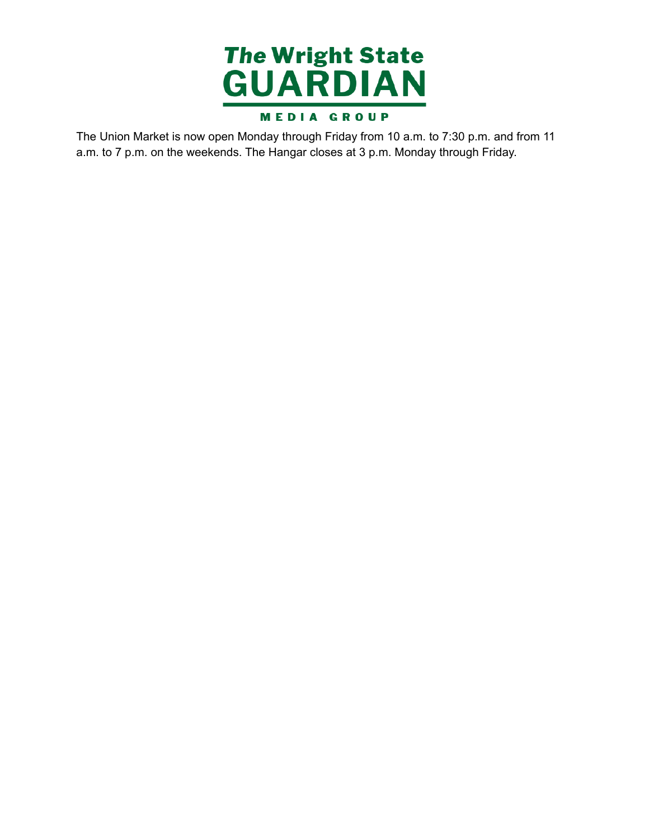

The Union Market is now open Monday through Friday from 10 a.m. to 7:30 p.m. and from 11 a.m. to 7 p.m. on the weekends. The Hangar closes at 3 p.m. Monday through Friday.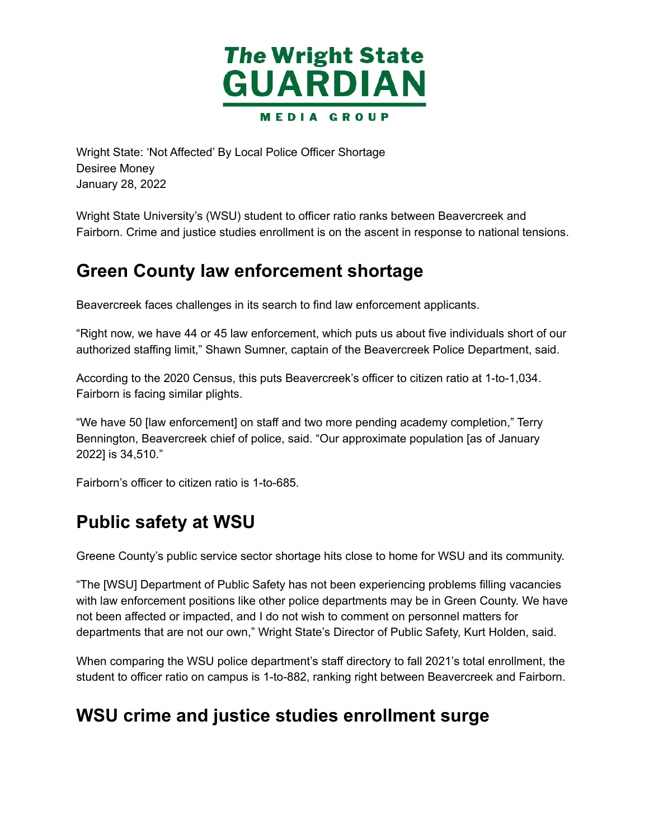

 Wright State: 'Not Affected' By Local Police Officer Shortage January 28, 2022 Desiree Money

 Wright State University's (WSU) student to officer ratio ranks between Beavercreek and Fairborn. Crime and justice studies enrollment is on the ascent in response to national tensions.

### **Green County law enforcement shortage**

Beavercreek faces challenges in its search to find law enforcement applicants.

 "Right now, we have 44 or 45 law enforcement, which puts us about five individuals short of our authorized staffing limit," Shawn Sumner, captain of the Beavercreek Police Department, said.

 According to the 2020 Census, this puts Beavercreek's officer to citizen ratio at 1-to-1,034. Fairborn is facing similar plights.

 "We have 50 [law enforcement] on staff and two more pending academy completion," Terry Bennington, Beavercreek chief of police, said. "Our approximate population [as of January 2022] is 34,510."

Fairborn's officer to citizen ratio is 1-to-685.

# **Public safety at WSU**

Greene County's public service sector shortage hits close to home for WSU and its community.

 "The [WSU] Department of Public Safety has not been experiencing problems filling vacancies with law enforcement positions like other police departments may be in Green County. We have not been affected or impacted, and I do not wish to comment on personnel matters for departments that are not our own," Wright State's Director of Public Safety, Kurt Holden, said.

 When comparing the WSU police department's staff directory to fall 2021's total enrollment, the student to officer ratio on campus is 1-to-882, ranking right between Beavercreek and Fairborn.

### **WSU crime and justice studies enrollment surge**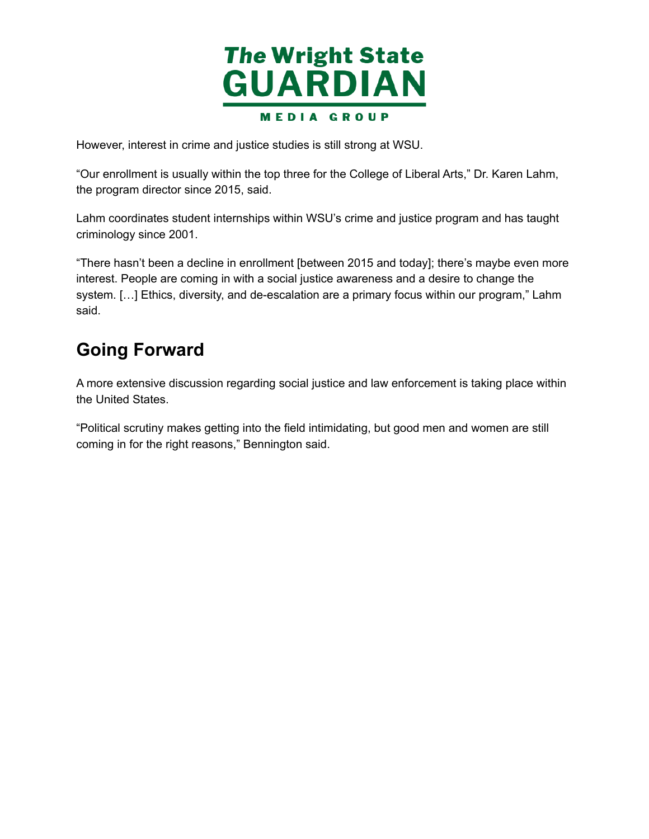

However, interest in crime and justice studies is still strong at WSU.

 "Our enrollment is usually within the top three for the College of Liberal Arts," Dr. Karen Lahm, the program director since 2015, said.

 Lahm coordinates student internships within WSU's crime and justice program and has taught criminology since 2001.

 "There hasn't been a decline in enrollment [between 2015 and today]; there's maybe even more interest. People are coming in with a social justice awareness and a desire to change the system. […] Ethics, diversity, and de-escalation are a primary focus within our program," Lahm said.

# **Going Forward**

 A more extensive discussion regarding social justice and law enforcement is taking place within the United States.

 "Political scrutiny makes getting into the field intimidating, but good men and women are still coming in for the right reasons," Bennington said.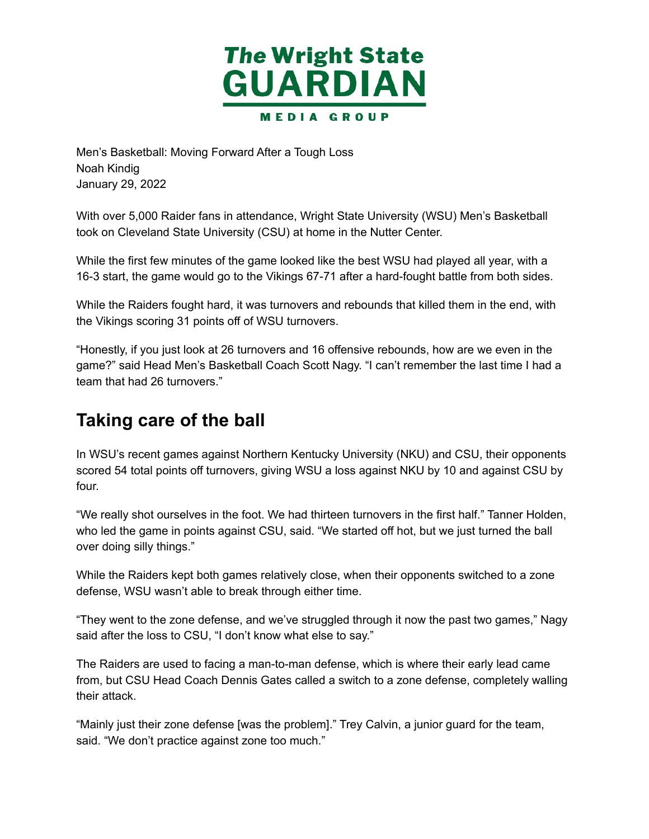

 Men's Basketball: Moving Forward After a Tough Loss January 29, 2022 Noah Kindig

 With over 5,000 Raider fans in attendance, Wright State University (WSU) Men's Basketball took on Cleveland State University (CSU) at home in the Nutter Center.

 While the first few minutes of the game looked like the best WSU had played all year, with a 16-3 start, the game would go to the Vikings 67-71 after a hard-fought battle from both sides.

 While the Raiders fought hard, it was turnovers and rebounds that killed them in the end, with the Vikings scoring 31 points off of WSU turnovers.

 "Honestly, if you just look at 26 turnovers and 16 offensive rebounds, how are we even in the game?" said Head Men's Basketball Coach Scott Nagy. "I can't remember the last time I had a team that had 26 turnovers."

# **Taking care of the ball**

 In WSU's recent games against Northern Kentucky University (NKU) and CSU, their opponents scored 54 total points off turnovers, giving WSU a loss against NKU by 10 and against CSU by four.

 "We really shot ourselves in the foot. We had thirteen turnovers in the first half." Tanner Holden, who led the game in points against CSU, said. "We started off hot, but we just turned the ball over doing silly things."

 While the Raiders kept both games relatively close, when their opponents switched to a zone defense, WSU wasn't able to break through either time.

 "They went to the zone defense, and we've struggled through it now the past two games," Nagy said after the loss to CSU, "I don't know what else to say."

 The Raiders are used to facing a man-to-man defense, which is where their early lead came from, but CSU Head Coach Dennis Gates called a switch to a zone defense, completely walling their attack.

 "Mainly just their zone defense [was the problem]." Trey Calvin, a junior guard for the team, said. "We don't practice against zone too much."